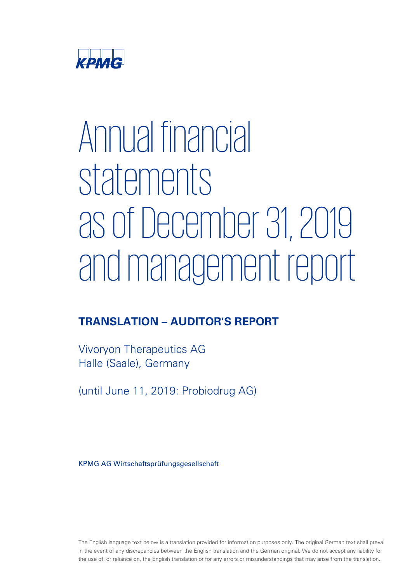

# Annual financial statements as of December 31, 2019 and management report

# TRANSLATION – AUDITOR'S REPORT

Vivoryon-Therapeutics-AG- Halle (Saale), Germany

(until June 11, 2019: Probiodrug AG)

KPMG AG Wirtschaftsprüfungsgesellschaft

The English language text below is a translation provided for information purposes only. The original German text shall prevail in the event of any discrepancies between the English translation and the German original. We do not accept any liability for the use of, or reliance on, the English translation or for any errors or misunderstandings that may arise from the translation.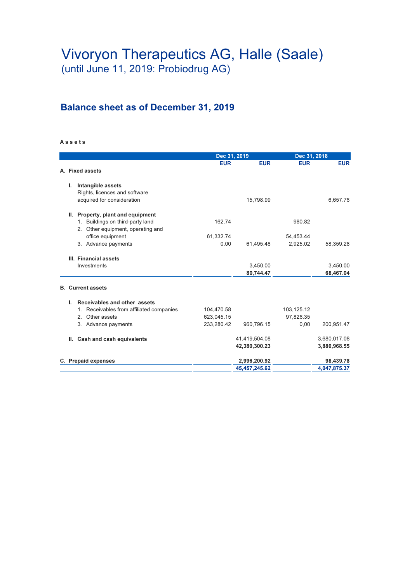## Balance sheet as of December 31, 2019

#### A s s e t s

|                                          | Dec 31, 2019 |               | Dec 31, 2018 |              |
|------------------------------------------|--------------|---------------|--------------|--------------|
|                                          | <b>EUR</b>   | <b>EUR</b>    | <b>EUR</b>   | <b>EUR</b>   |
| A. Fixed assets                          |              |               |              |              |
| ı.<br>Intangible assets                  |              |               |              |              |
| Rights, licences and software            |              |               |              |              |
| acquired for consideration               |              | 15,798.99     |              | 6,657.76     |
| II. Property, plant and equipment        |              |               |              |              |
| 1. Buildings on third-party land         | 162.74       |               | 980.82       |              |
| 2. Other equipment, operating and        |              |               |              |              |
| office equipment                         | 61,332.74    |               | 54,453.44    |              |
| 3. Advance payments                      | 0.00         | 61,495.48     | 2,925.02     | 58,359.28    |
| III. Financial assets                    |              |               |              |              |
| Investments                              |              | 3,450.00      |              | 3,450.00     |
|                                          |              | 80,744.47     |              | 68,467.04    |
| <b>B.</b> Current assets                 |              |               |              |              |
| Receivables and other assets<br>L.       |              |               |              |              |
| 1. Receivables from affiliated companies | 104,470.58   |               | 103,125.12   |              |
| Other assets<br>2 <sup>1</sup>           | 623,045.15   |               | 97.826.35    |              |
| 3. Advance payments                      | 233.280.42   | 960,796.15    | 0,00         | 200,951.47   |
| II. Cash and cash equivalents            |              | 41,419,504.08 |              | 3,680,017.08 |
|                                          |              | 42,380,300.23 |              | 3,880,968.55 |
| C. Prepaid expenses                      |              | 2,996,200.92  |              | 98,439.78    |
|                                          |              | 45,457,245.62 |              | 4,047,875.37 |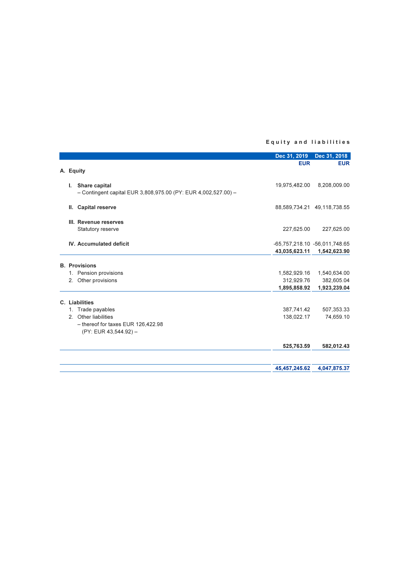#### Equity and liabilities

|    |                                                                                 | Dec 31, 2019  | Dec 31, 2018                  |
|----|---------------------------------------------------------------------------------|---------------|-------------------------------|
|    |                                                                                 | <b>EUR</b>    | <b>EUR</b>                    |
|    | A. Equity                                                                       |               |                               |
| L. | Share capital<br>- Contingent capital EUR 3,808,975.00 (PY: EUR 4,002,527.00) - | 19,975,482.00 | 8,208,009.00                  |
|    |                                                                                 |               |                               |
| Ш. | <b>Capital reserve</b>                                                          |               | 88,589,734.21 49,118,738.55   |
|    | III. Revenue reserves                                                           |               |                               |
|    | Statutory reserve                                                               | 227,625.00    | 227,625.00                    |
|    | <b>IV. Accumulated deficit</b>                                                  |               | -65,757,218.10 -56,011,748.65 |
|    |                                                                                 | 43,035,623.11 | 1,542,623.90                  |
|    | <b>B.</b> Provisions                                                            |               |                               |
|    | 1. Pension provisions                                                           | 1,582,929.16  | 1,540,634.00                  |
|    | 2. Other provisions                                                             | 312,929.76    | 382,605.04                    |
|    |                                                                                 | 1,895,858.92  | 1,923,239.04                  |
|    | C. Liabilities                                                                  |               |                               |
|    | 1. Trade payables                                                               | 387,741.42    | 507,353.33                    |
|    | 2. Other liabilities                                                            | 138,022.17    | 74,659.10                     |
|    | $-$ thereof for taxes EUR 126,422.98                                            |               |                               |
|    | (PY: EUR 43,544.92) -                                                           |               |                               |
|    |                                                                                 | 525,763.59    | 582,012.43                    |
|    |                                                                                 | 45,457,245.62 | 4,047,875.37                  |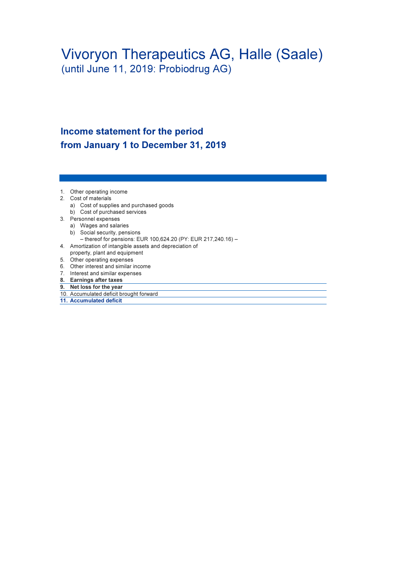## Income statement for the period from January 1 to December 31, 2019

- 1. Other operating income
- 2. Cost of materials
	- a) Cost of supplies and purchased goods
	- b) Cost of purchased services
- 3. Personnel expenses
	- a) Wages and salaries
	- b) Social security, pensions
	- thereof for pensions: EUR 100,624.20 (PY: EUR 217,240.16) –
- 4. Amortization of intangible assets and depreciation of property, plant and equipment
- 5. Other operating expenses
- 6. Other interest and similar income
- 7. Interest and similar expenses
- 8. Earnings after taxes
- 9. Net loss for the year
- 10. Accumulated deficit brought forward
- 11. Accumulated deficit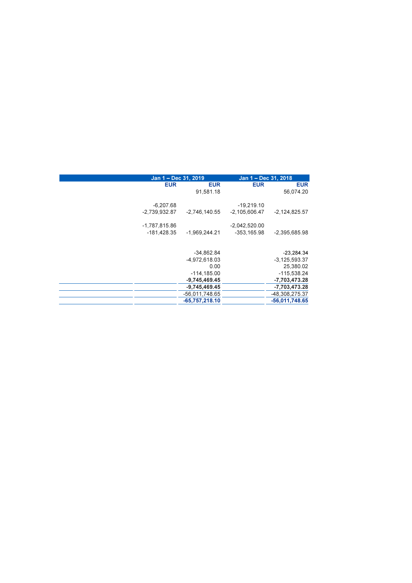|                 | Jan 1 - Dec 31, 2019 |                 | Jan 1 - Dec 31, 2018 |
|-----------------|----------------------|-----------------|----------------------|
| <b>EUR</b>      | <b>EUR</b>           | <b>EUR</b>      | <b>EUR</b>           |
|                 | 91,581.18            |                 | 56,074.20            |
| $-6,207.68$     |                      | $-19,219.10$    |                      |
| $-2,739,932.87$ | $-2,746,140.55$      | $-2,105,606.47$ | $-2,124,825.57$      |
| $-1,787,815.86$ |                      | $-2,042,520.00$ |                      |
| $-181,428.35$   | $-1,969,244.21$      | $-353,165.98$   | $-2,395,685.98$      |
|                 |                      |                 |                      |
|                 | $-34,862.84$         |                 | $-23,284.34$         |
|                 | -4,972,618.03        |                 | $-3.125.593.37$      |
|                 | 0.00                 |                 | 25,380.02            |
|                 | $-114, 185.00$       |                 | -115,538.24          |
|                 | $-9,745,469.45$      |                 | -7,703,473.28        |
|                 | $-9,745,469.45$      |                 | -7,703,473.28        |
|                 | -56,011,748.65       |                 | -48,308,275.37       |
|                 | $-65,757,218.10$     |                 | $-56,011,748.65$     |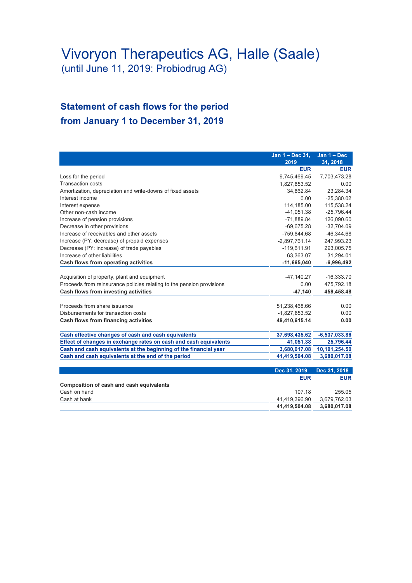## Statement of cash flows for the period from January 1 to December 31, 2019

|                                                                       | Jan 1 - Dec 31, | Jan $1 - Dec$   |
|-----------------------------------------------------------------------|-----------------|-----------------|
|                                                                       | 2019            | 31, 2018        |
|                                                                       | <b>EUR</b>      | <b>EUR</b>      |
| Loss for the period                                                   | $-9,745,469.45$ | $-7,703,473.28$ |
| <b>Transaction costs</b>                                              | 1,827,853.52    | 0.00            |
| Amortization, depreciation and write-downs of fixed assets            | 34,862.84       | 23,284.34       |
| Interest income                                                       | 0.00            | $-25,380.02$    |
| Interest expense                                                      | 114.185.00      | 115,538.24      |
| Other non-cash income                                                 | $-41,051.38$    | $-25,796.44$    |
| Increase of pension provisions                                        | $-71,889.84$    | 126,090.60      |
| Decrease in other provisions                                          | $-69,675.28$    | $-32,704.09$    |
| Increase of receivables and other assets                              | $-759,844.68$   | $-46,344.68$    |
| Increase (PY: decrease) of prepaid expenses                           | $-2,897,761.14$ | 247,993.23      |
| Decrease (PY: increase) of trade payables                             | $-119,611.91$   | 293,005.75      |
| Increase of other liabilities                                         | 63,363.07       | 31,294.01       |
| Cash flows from operating activities                                  | $-11,665,040$   | $-6,996,492$    |
| Acquisition of property, plant and equipment                          | $-47,140.27$    | $-16,333.70$    |
| Proceeds from reinsurance policies relating to the pension provisions | 0.00            | 475,792.18      |
| Cash flows from investing activities                                  |                 |                 |
|                                                                       | $-47,140$       | 459,458.48      |
| Proceeds from share issuance                                          | 51,238,468.66   | 0.00            |
| Disbursements for transaction costs                                   | $-1,827,853.52$ | 0.00            |
| Cash flows from financing activities                                  | 49,410,615.14   | 0.00            |
| Cash effective changes of cash and cash equivalents                   | 37,698,435.62   | $-6,537,033.86$ |
| Effect of changes in exchange rates on cash and cash equivalents      | 41,051.38       | 25,796.44       |
| Cash and cash equivalents at the beginning of the financial year      | 3,680,017.08    | 10,191,254.50   |
| Cash and cash equivalents at the end of the period                    | 41,419,504.08   | 3,680,017.08    |
|                                                                       |                 |                 |
|                                                                       | Dec 31, 2019    | Dec 31, 2018    |
|                                                                       | <b>EUR</b>      | <b>EUR</b>      |
| Composition of cash and cash equivalents                              |                 |                 |
| Cash on hand                                                          | 107.18          | 255.05          |
| Cash at bank                                                          | 41,419,396.90   | 3,679,762.03    |
|                                                                       | 41,419,504.08   | 3,680,017.08    |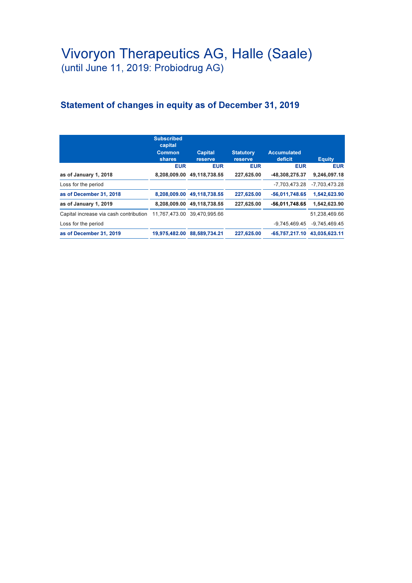## Statement of changes in equity as of December 31, 2019

|                                        | <b>Subscribed</b><br>capital<br><b>Common</b><br>shares | <b>Capital</b><br>reserve   | <b>Statutory</b><br>reserve | <b>Accumulated</b><br>deficit | <b>Equity</b>   |
|----------------------------------------|---------------------------------------------------------|-----------------------------|-----------------------------|-------------------------------|-----------------|
|                                        | <b>EUR</b>                                              | <b>EUR</b>                  | <b>EUR</b>                  | <b>EUR</b>                    | <b>EUR</b>      |
| as of January 1, 2018                  |                                                         | 8.208.009.00 49.118.738.55  | 227.625.00                  | -48.308.275.37                | 9.246.097.18    |
| Loss for the period                    |                                                         |                             |                             | -7.703.473.28                 | $-7.703.473.28$ |
| as of December 31, 2018                |                                                         | 8.208.009.00 49.118.738.55  | 227.625.00                  | $-56,011,748.65$              | 1.542.623.90    |
| as of January 1, 2019                  |                                                         | 8.208.009.00 49.118.738.55  | 227.625.00                  | -56,011,748.65                | 1.542.623.90    |
| Capital increase via cash contribution |                                                         | 11.767.473.00 39.470.995.66 |                             |                               | 51.238.469.66   |
| Loss for the period                    |                                                         |                             |                             | $-9.745.469.45$               | $-9.745.469.45$ |
| as of December 31, 2019                | 19.975.482.00                                           | 88.589.734.21               | 227.625.00                  | $-65.757.217.10$              | 43.035.623.11   |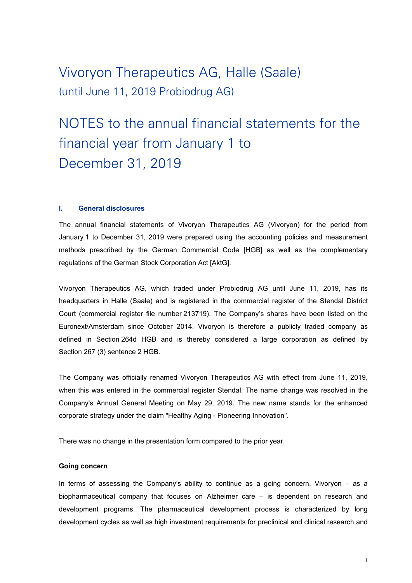# NOTES to the annual financial statements for the financial year from January 1 to December 31, 2019

#### I. General disclosures

The annual financial statements of Vivoryon Therapeutics AG (Vivoryon) for the period from January 1 to December 31, 2019 were prepared using the accounting policies and measurement methods prescribed by the German Commercial Code [HGB] as well as the complementary regulations of the German Stock Corporation Act [AktG].

Vivoryon Therapeutics AG, which traded under Probiodrug AG until June 11, 2019, has its headquarters in Halle (Saale) and is registered in the commercial register of the Stendal District Court (commercial register file number 213719). The Company's shares have been listed on the Euronext/Amsterdam since October 2014. Vivoryon is therefore a publicly traded company as defined in Section 264d HGB and is thereby considered a large corporation as defined by Section 267 (3) sentence 2 HGB.

The Company was officially renamed Vivoryon Therapeutics AG with effect from June 11, 2019, when this was entered in the commercial register Stendal. The name change was resolved in the Company's Annual General Meeting on May 29, 2019. The new name stands for the enhanced corporate strategy under the claim "Healthy Aging - Pioneering Innovation".

There was no change in the presentation form compared to the prior year.

#### Going concern

In terms of assessing the Company's ability to continue as a going concern, Vivoryon – as a biopharmaceutical company that focuses on Alzheimer care – is dependent on research and development programs. The pharmaceutical development process is characterized by long development cycles as well as high investment requirements for preclinical and clinical research and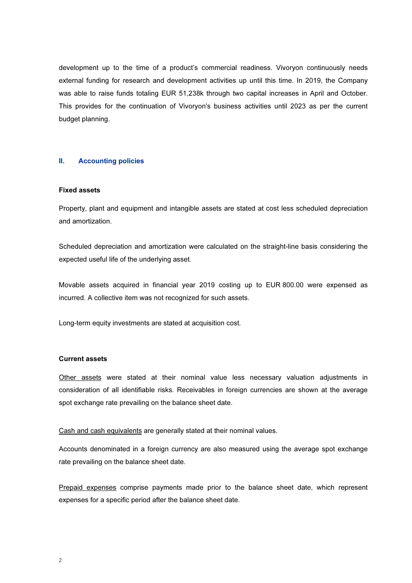development up to the time of a product's commercial readiness. Vivoryon continuously needs external funding for research and development activities up until this time. In 2019, the Company was able to raise funds totaling EUR 51,238k through two capital increases in April and October. This provides for the continuation of Vivoryon's business activities until 2023 as per the current budget planning.

#### II. Accounting policies

#### Fixed assets

Property, plant and equipment and intangible assets are stated at cost less scheduled depreciation and amortization.

Scheduled depreciation and amortization were calculated on the straight-line basis considering the expected useful life of the underlying asset.

Movable assets acquired in financial year 2019 costing up to EUR 800.00 were expensed as incurred. A collective item was not recognized for such assets.

Long-term equity investments are stated at acquisition cost.

#### Current assets

Other assets were stated at their nominal value less necessary valuation adjustments in consideration of all identifiable risks. Receivables in foreign currencies are shown at the average spot exchange rate prevailing on the balance sheet date.

Cash and cash equivalents are generally stated at their nominal values.

Accounts denominated in a foreign currency are also measured using the average spot exchange rate prevailing on the balance sheet date.

Prepaid expenses comprise payments made prior to the balance sheet date, which represent expenses for a specific period after the balance sheet date.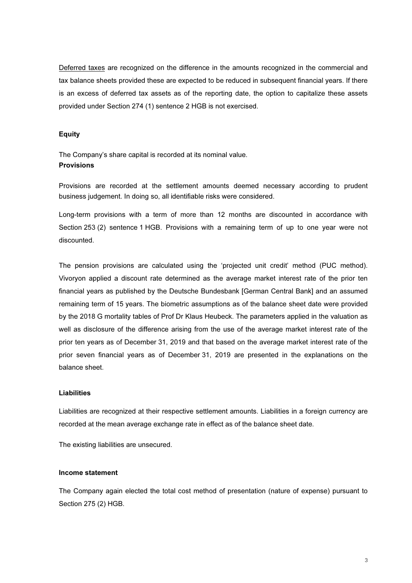Deferred taxes are recognized on the difference in the amounts recognized in the commercial and tax balance sheets provided these are expected to be reduced in subsequent financial years. If there is an excess of deferred tax assets as of the reporting date, the option to capitalize these assets provided under Section 274 (1) sentence 2 HGB is not exercised.

#### Equity

The Company's share capital is recorded at its nominal value. **Provisions** 

Provisions are recorded at the settlement amounts deemed necessary according to prudent business judgement. In doing so, all identifiable risks were considered.

Long-term provisions with a term of more than 12 months are discounted in accordance with Section 253 (2) sentence 1 HGB. Provisions with a remaining term of up to one year were not discounted.

The pension provisions are calculated using the 'projected unit credit' method (PUC method). Vivoryon applied a discount rate determined as the average market interest rate of the prior ten financial years as published by the Deutsche Bundesbank [German Central Bank] and an assumed remaining term of 15 years. The biometric assumptions as of the balance sheet date were provided by the 2018 G mortality tables of Prof Dr Klaus Heubeck. The parameters applied in the valuation as well as disclosure of the difference arising from the use of the average market interest rate of the prior ten years as of December 31, 2019 and that based on the average market interest rate of the prior seven financial years as of December 31, 2019 are presented in the explanations on the balance sheet.

#### Liabilities

Liabilities are recognized at their respective settlement amounts. Liabilities in a foreign currency are recorded at the mean average exchange rate in effect as of the balance sheet date.

The existing liabilities are unsecured.

#### Income statement

The Company again elected the total cost method of presentation (nature of expense) pursuant to Section 275 (2) HGB.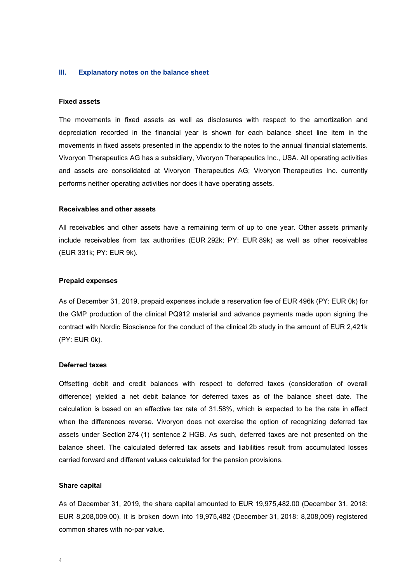#### III. Explanatory notes on the balance sheet

#### Fixed assets

The movements in fixed assets as well as disclosures with respect to the amortization and depreciation recorded in the financial year is shown for each balance sheet line item in the movements in fixed assets presented in the appendix to the notes to the annual financial statements. Vivoryon Therapeutics AG has a subsidiary, Vivoryon Therapeutics Inc., USA. All operating activities and assets are consolidated at Vivoryon Therapeutics AG; Vivoryon Therapeutics Inc. currently performs neither operating activities nor does it have operating assets.

#### Receivables and other assets

All receivables and other assets have a remaining term of up to one year. Other assets primarily include receivables from tax authorities (EUR 292k; PY: EUR 89k) as well as other receivables (EUR 331k; PY: EUR 9k).

#### Prepaid expenses

As of December 31, 2019, prepaid expenses include a reservation fee of EUR 496k (PY: EUR 0k) for the GMP production of the clinical PQ912 material and advance payments made upon signing the contract with Nordic Bioscience for the conduct of the clinical 2b study in the amount of EUR 2,421k (PY: EUR 0k).

#### Deferred taxes

Offsetting debit and credit balances with respect to deferred taxes (consideration of overall difference) yielded a net debit balance for deferred taxes as of the balance sheet date. The calculation is based on an effective tax rate of 31.58%, which is expected to be the rate in effect when the differences reverse. Vivoryon does not exercise the option of recognizing deferred tax assets under Section 274 (1) sentence 2 HGB. As such, deferred taxes are not presented on the balance sheet. The calculated deferred tax assets and liabilities result from accumulated losses carried forward and different values calculated for the pension provisions.

#### Share capital

As of December 31, 2019, the share capital amounted to EUR 19,975,482.00 (December 31, 2018: EUR 8,208,009.00). It is broken down into 19,975,482 (December 31, 2018: 8,208,009) registered common shares with no-par value.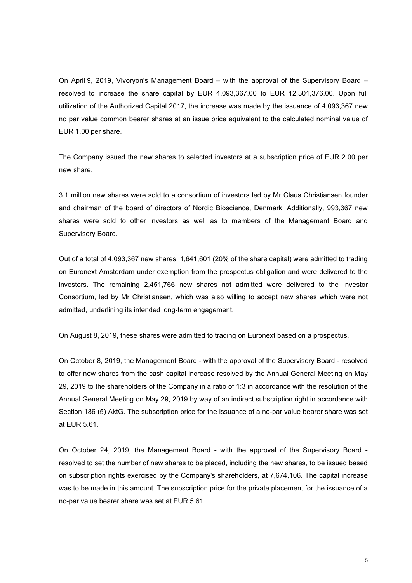On April 9, 2019, Vivoryon's Management Board – with the approval of the Supervisory Board – resolved to increase the share capital by EUR 4,093,367.00 to EUR 12,301,376.00. Upon full utilization of the Authorized Capital 2017, the increase was made by the issuance of 4,093,367 new no par value common bearer shares at an issue price equivalent to the calculated nominal value of EUR 1.00 per share.

The Company issued the new shares to selected investors at a subscription price of EUR 2.00 per new share.

3.1 million new shares were sold to a consortium of investors led by Mr Claus Christiansen founder and chairman of the board of directors of Nordic Bioscience, Denmark. Additionally, 993,367 new shares were sold to other investors as well as to members of the Management Board and Supervisory Board.

Out of a total of 4,093,367 new shares, 1,641,601 (20% of the share capital) were admitted to trading on Euronext Amsterdam under exemption from the prospectus obligation and were delivered to the investors. The remaining 2,451,766 new shares not admitted were delivered to the Investor Consortium, led by Mr Christiansen, which was also willing to accept new shares which were not admitted, underlining its intended long-term engagement.

On August 8, 2019, these shares were admitted to trading on Euronext based on a prospectus.

On October 8, 2019, the Management Board - with the approval of the Supervisory Board - resolved to offer new shares from the cash capital increase resolved by the Annual General Meeting on May 29, 2019 to the shareholders of the Company in a ratio of 1:3 in accordance with the resolution of the Annual General Meeting on May 29, 2019 by way of an indirect subscription right in accordance with Section 186 (5) AktG. The subscription price for the issuance of a no-par value bearer share was set at EUR 5.61.

On October 24, 2019, the Management Board - with the approval of the Supervisory Board resolved to set the number of new shares to be placed, including the new shares, to be issued based on subscription rights exercised by the Company's shareholders, at 7,674,106. The capital increase was to be made in this amount. The subscription price for the private placement for the issuance of a no-par value bearer share was set at EUR 5.61.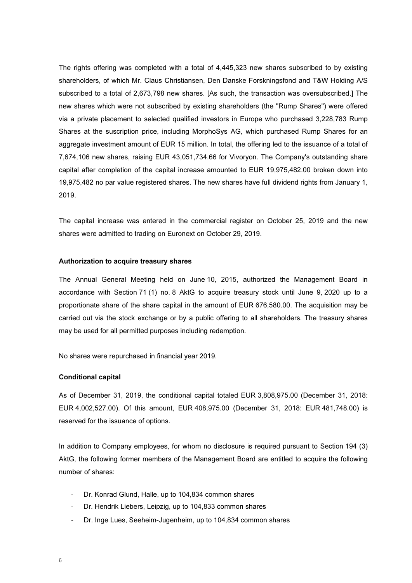The rights offering was completed with a total of 4,445,323 new shares subscribed to by existing shareholders, of which Mr. Claus Christiansen, Den Danske Forskningsfond and T&W Holding A/S subscribed to a total of 2,673,798 new shares. [As such, the transaction was oversubscribed.] The new shares which were not subscribed by existing shareholders (the "Rump Shares") were offered via a private placement to selected qualified investors in Europe who purchased 3,228,783 Rump Shares at the suscription price, including MorphoSys AG, which purchased Rump Shares for an aggregate investment amount of EUR 15 million. In total, the offering led to the issuance of a total of 7,674,106 new shares, raising EUR 43,051,734.66 for Vivoryon. The Company's outstanding share capital after completion of the capital increase amounted to EUR 19,975,482.00 broken down into 19,975,482 no par value registered shares. The new shares have full dividend rights from January 1, 2019.

The capital increase was entered in the commercial register on October 25, 2019 and the new shares were admitted to trading on Euronext on October 29, 2019.

#### Authorization to acquire treasury shares

The Annual General Meeting held on June 10, 2015, authorized the Management Board in accordance with Section 71 (1) no. 8 AktG to acquire treasury stock until June 9, 2020 up to a proportionate share of the share capital in the amount of EUR 676,580.00. The acquisition may be carried out via the stock exchange or by a public offering to all shareholders. The treasury shares may be used for all permitted purposes including redemption.

No shares were repurchased in financial year 2019.

#### Conditional capital

As of December 31, 2019, the conditional capital totaled EUR 3,808,975.00 (December 31, 2018: EUR 4,002,527.00). Of this amount, EUR 408,975.00 (December 31, 2018: EUR 481,748.00) is reserved for the issuance of options.

In addition to Company employees, for whom no disclosure is required pursuant to Section 194 (3) AktG, the following former members of the Management Board are entitled to acquire the following number of shares:

- Dr. Konrad Glund, Halle, up to 104,834 common shares
- Dr. Hendrik Liebers, Leipzig, up to 104,833 common shares
- Dr. Inge Lues, Seeheim-Jugenheim, up to 104,834 common shares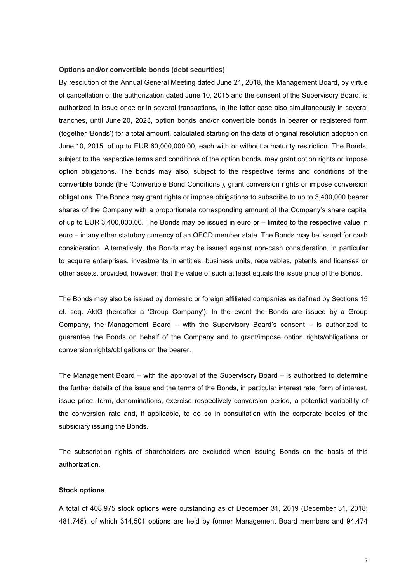#### Options and/or convertible bonds (debt securities)

By resolution of the Annual General Meeting dated June 21, 2018, the Management Board, by virtue of cancellation of the authorization dated June 10, 2015 and the consent of the Supervisory Board, is authorized to issue once or in several transactions, in the latter case also simultaneously in several tranches, until June 20, 2023, option bonds and/or convertible bonds in bearer or registered form (together 'Bonds') for a total amount, calculated starting on the date of original resolution adoption on June 10, 2015, of up to EUR 60,000,000.00, each with or without a maturity restriction. The Bonds, subject to the respective terms and conditions of the option bonds, may grant option rights or impose option obligations. The bonds may also, subject to the respective terms and conditions of the convertible bonds (the 'Convertible Bond Conditions'), grant conversion rights or impose conversion obligations. The Bonds may grant rights or impose obligations to subscribe to up to 3,400,000 bearer shares of the Company with a proportionate corresponding amount of the Company's share capital of up to EUR 3,400,000.00. The Bonds may be issued in euro or – limited to the respective value in euro – in any other statutory currency of an OECD member state. The Bonds may be issued for cash consideration. Alternatively, the Bonds may be issued against non-cash consideration, in particular to acquire enterprises, investments in entities, business units, receivables, patents and licenses or other assets, provided, however, that the value of such at least equals the issue price of the Bonds.

The Bonds may also be issued by domestic or foreign affiliated companies as defined by Sections 15 et. seq. AktG (hereafter a 'Group Company'). In the event the Bonds are issued by a Group Company, the Management Board – with the Supervisory Board's consent – is authorized to guarantee the Bonds on behalf of the Company and to grant/impose option rights/obligations or conversion rights/obligations on the bearer.

The Management Board – with the approval of the Supervisory Board – is authorized to determine the further details of the issue and the terms of the Bonds, in particular interest rate, form of interest, issue price, term, denominations, exercise respectively conversion period, a potential variability of the conversion rate and, if applicable, to do so in consultation with the corporate bodies of the subsidiary issuing the Bonds.

The subscription rights of shareholders are excluded when issuing Bonds on the basis of this authorization.

#### Stock options

A total of 408,975 stock options were outstanding as of December 31, 2019 (December 31, 2018: 481,748), of which 314,501 options are held by former Management Board members and 94,474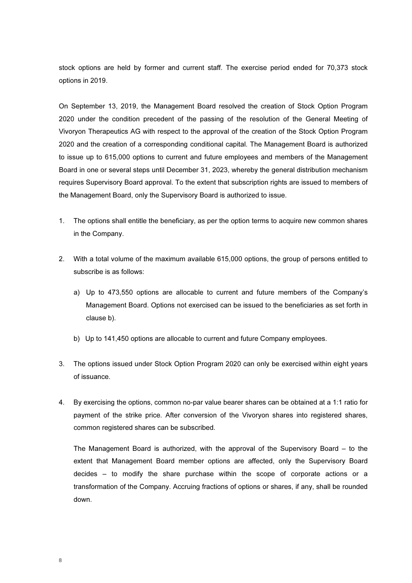stock options are held by former and current staff. The exercise period ended for 70,373 stock options in 2019.

On September 13, 2019, the Management Board resolved the creation of Stock Option Program 2020 under the condition precedent of the passing of the resolution of the General Meeting of Vivoryon Therapeutics AG with respect to the approval of the creation of the Stock Option Program 2020 and the creation of a corresponding conditional capital. The Management Board is authorized to issue up to 615,000 options to current and future employees and members of the Management Board in one or several steps until December 31, 2023, whereby the general distribution mechanism requires Supervisory Board approval. To the extent that subscription rights are issued to members of the Management Board, only the Supervisory Board is authorized to issue.

- 1. The options shall entitle the beneficiary, as per the option terms to acquire new common shares in the Company.
- 2. With a total volume of the maximum available 615,000 options, the group of persons entitled to subscribe is as follows:
	- a) Up to 473,550 options are allocable to current and future members of the Company's Management Board. Options not exercised can be issued to the beneficiaries as set forth in clause b).
	- b) Up to 141,450 options are allocable to current and future Company employees.
- 3. The options issued under Stock Option Program 2020 can only be exercised within eight years of issuance.
- 4. By exercising the options, common no-par value bearer shares can be obtained at a 1:1 ratio for payment of the strike price. After conversion of the Vivoryon shares into registered shares, common registered shares can be subscribed.

The Management Board is authorized, with the approval of the Supervisory Board – to the extent that Management Board member options are affected, only the Supervisory Board decides – to modify the share purchase within the scope of corporate actions or a transformation of the Company. Accruing fractions of options or shares, if any, shall be rounded down.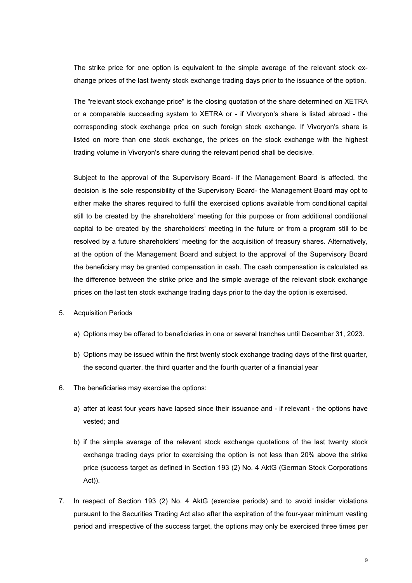The strike price for one option is equivalent to the simple average of the relevant stock exchange prices of the last twenty stock exchange trading days prior to the issuance of the option.

The "relevant stock exchange price" is the closing quotation of the share determined on XETRA or a comparable succeeding system to XETRA or - if Vivoryon's share is listed abroad - the corresponding stock exchange price on such foreign stock exchange. If Vivoryon's share is listed on more than one stock exchange, the prices on the stock exchange with the highest trading volume in Vivoryon's share during the relevant period shall be decisive.

Subject to the approval of the Supervisory Board- if the Management Board is affected, the decision is the sole responsibility of the Supervisory Board- the Management Board may opt to either make the shares required to fulfil the exercised options available from conditional capital still to be created by the shareholders' meeting for this purpose or from additional conditional capital to be created by the shareholders' meeting in the future or from a program still to be resolved by a future shareholders' meeting for the acquisition of treasury shares. Alternatively, at the option of the Management Board and subject to the approval of the Supervisory Board the beneficiary may be granted compensation in cash. The cash compensation is calculated as the difference between the strike price and the simple average of the relevant stock exchange prices on the last ten stock exchange trading days prior to the day the option is exercised.

- 5. Acquisition Periods
	- a) Options may be offered to beneficiaries in one or several tranches until December 31, 2023.
	- b) Options may be issued within the first twenty stock exchange trading days of the first quarter, the second quarter, the third quarter and the fourth quarter of a financial year
- 6. The beneficiaries may exercise the options:
	- a) after at least four years have lapsed since their issuance and if relevant the options have vested; and
	- b) if the simple average of the relevant stock exchange quotations of the last twenty stock exchange trading days prior to exercising the option is not less than 20% above the strike price (success target as defined in Section 193 (2) No. 4 AktG (German Stock Corporations Act)).
- 7. In respect of Section 193 (2) No. 4 AktG (exercise periods) and to avoid insider violations pursuant to the Securities Trading Act also after the expiration of the four-year minimum vesting period and irrespective of the success target, the options may only be exercised three times per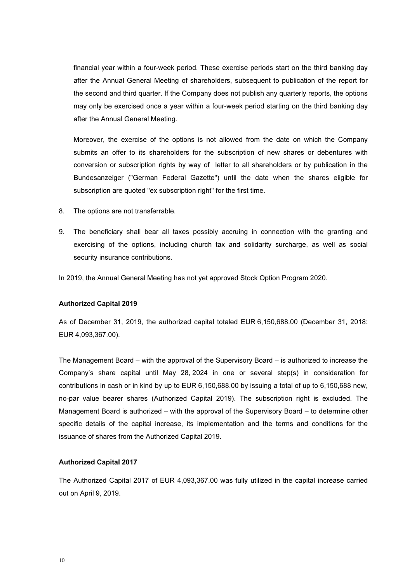financial year within a four-week period. These exercise periods start on the third banking day after the Annual General Meeting of shareholders, subsequent to publication of the report for the second and third quarter. If the Company does not publish any quarterly reports, the options may only be exercised once a year within a four-week period starting on the third banking day after the Annual General Meeting.

Moreover, the exercise of the options is not allowed from the date on which the Company submits an offer to its shareholders for the subscription of new shares or debentures with conversion or subscription rights by way of letter to all shareholders or by publication in the Bundesanzeiger ("German Federal Gazette") until the date when the shares eligible for subscription are quoted "ex subscription right" for the first time.

- 8. The options are not transferrable.
- 9. The beneficiary shall bear all taxes possibly accruing in connection with the granting and exercising of the options, including church tax and solidarity surcharge, as well as social security insurance contributions.

In 2019, the Annual General Meeting has not yet approved Stock Option Program 2020.

#### Authorized Capital 2019

As of December 31, 2019, the authorized capital totaled EUR 6,150,688.00 (December 31, 2018: EUR 4,093,367.00).

The Management Board – with the approval of the Supervisory Board – is authorized to increase the Company's share capital until May 28, 2024 in one or several step(s) in consideration for contributions in cash or in kind by up to EUR 6,150,688.00 by issuing a total of up to 6,150,688 new, no-par value bearer shares (Authorized Capital 2019). The subscription right is excluded. The Management Board is authorized – with the approval of the Supervisory Board – to determine other specific details of the capital increase, its implementation and the terms and conditions for the issuance of shares from the Authorized Capital 2019.

#### Authorized Capital 2017

The Authorized Capital 2017 of EUR 4,093,367.00 was fully utilized in the capital increase carried out on April 9, 2019.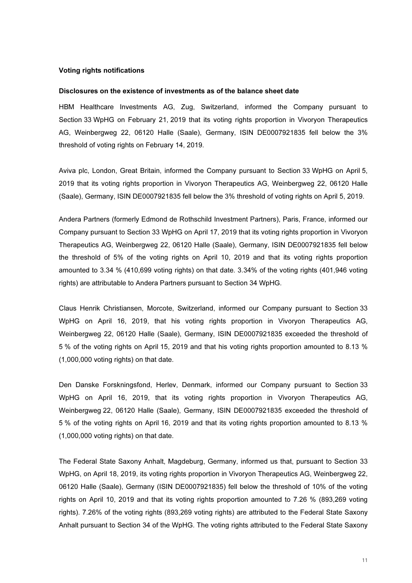#### Voting rights notifications

#### Disclosures on the existence of investments as of the balance sheet date

HBM Healthcare Investments AG, Zug, Switzerland, informed the Company pursuant to Section 33 WpHG on February 21, 2019 that its voting rights proportion in Vivoryon Therapeutics AG, Weinbergweg 22, 06120 Halle (Saale), Germany, ISIN DE0007921835 fell below the 3% threshold of voting rights on February 14, 2019.

Aviva plc, London, Great Britain, informed the Company pursuant to Section 33 WpHG on April 5, 2019 that its voting rights proportion in Vivoryon Therapeutics AG, Weinbergweg 22, 06120 Halle (Saale), Germany, ISIN DE0007921835 fell below the 3% threshold of voting rights on April 5, 2019.

Andera Partners (formerly Edmond de Rothschild Investment Partners), Paris, France, informed our Company pursuant to Section 33 WpHG on April 17, 2019 that its voting rights proportion in Vivoryon Therapeutics AG, Weinbergweg 22, 06120 Halle (Saale), Germany, ISIN DE0007921835 fell below the threshold of 5% of the voting rights on April 10, 2019 and that its voting rights proportion amounted to 3.34 % (410,699 voting rights) on that date. 3.34% of the voting rights (401,946 voting rights) are attributable to Andera Partners pursuant to Section 34 WpHG.

Claus Henrik Christiansen, Morcote, Switzerland, informed our Company pursuant to Section 33 WpHG on April 16, 2019, that his voting rights proportion in Vivoryon Therapeutics AG, Weinbergweg 22, 06120 Halle (Saale), Germany, ISIN DE0007921835 exceeded the threshold of 5 % of the voting rights on April 15, 2019 and that his voting rights proportion amounted to 8.13 % (1,000,000 voting rights) on that date.

Den Danske Forskningsfond, Herlev, Denmark, informed our Company pursuant to Section 33 WpHG on April 16, 2019, that its voting rights proportion in Vivoryon Therapeutics AG, Weinbergweg 22, 06120 Halle (Saale), Germany, ISIN DE0007921835 exceeded the threshold of 5 % of the voting rights on April 16, 2019 and that its voting rights proportion amounted to 8.13 % (1,000,000 voting rights) on that date.

The Federal State Saxony Anhalt, Magdeburg, Germany, informed us that, pursuant to Section 33 WpHG, on April 18, 2019, its voting rights proportion in Vivoryon Therapeutics AG, Weinbergweg 22, 06120 Halle (Saale), Germany (ISIN DE0007921835) fell below the threshold of 10% of the voting rights on April 10, 2019 and that its voting rights proportion amounted to 7.26 % (893,269 voting rights). 7.26% of the voting rights (893,269 voting rights) are attributed to the Federal State Saxony Anhalt pursuant to Section 34 of the WpHG. The voting rights attributed to the Federal State Saxony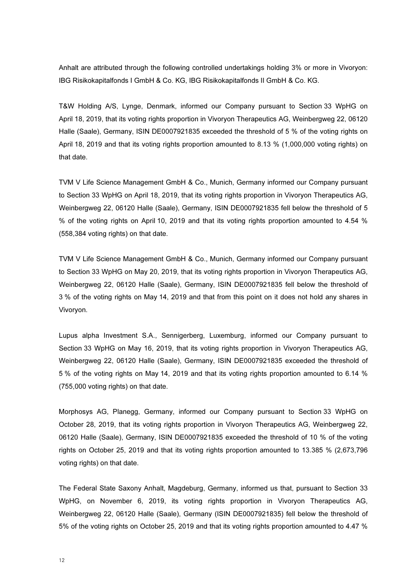Anhalt are attributed through the following controlled undertakings holding 3% or more in Vivoryon: IBG Risikokapitalfonds I GmbH & Co. KG, IBG Risikokapitalfonds II GmbH & Co. KG.

T&W Holding A/S, Lynge, Denmark, informed our Company pursuant to Section 33 WpHG on April 18, 2019, that its voting rights proportion in Vivoryon Therapeutics AG, Weinbergweg 22, 06120 Halle (Saale), Germany, ISIN DE0007921835 exceeded the threshold of 5 % of the voting rights on April 18, 2019 and that its voting rights proportion amounted to 8.13 % (1,000,000 voting rights) on that date.

TVM V Life Science Management GmbH & Co., Munich, Germany informed our Company pursuant to Section 33 WpHG on April 18, 2019, that its voting rights proportion in Vivoryon Therapeutics AG, Weinbergweg 22, 06120 Halle (Saale), Germany, ISIN DE0007921835 fell below the threshold of 5 % of the voting rights on April 10, 2019 and that its voting rights proportion amounted to 4.54 % (558,384 voting rights) on that date.

TVM V Life Science Management GmbH & Co., Munich, Germany informed our Company pursuant to Section 33 WpHG on May 20, 2019, that its voting rights proportion in Vivoryon Therapeutics AG, Weinbergweg 22, 06120 Halle (Saale), Germany, ISIN DE0007921835 fell below the threshold of 3 % of the voting rights on May 14, 2019 and that from this point on it does not hold any shares in Vivoryon.

Lupus alpha Investment S.A., Sennigerberg, Luxemburg, informed our Company pursuant to Section 33 WpHG on May 16, 2019, that its voting rights proportion in Vivoryon Therapeutics AG, Weinbergweg 22, 06120 Halle (Saale), Germany, ISIN DE0007921835 exceeded the threshold of 5 % of the voting rights on May 14, 2019 and that its voting rights proportion amounted to 6.14 % (755,000 voting rights) on that date.

Morphosys AG, Planegg, Germany, informed our Company pursuant to Section 33 WpHG on October 28, 2019, that its voting rights proportion in Vivoryon Therapeutics AG, Weinbergweg 22, 06120 Halle (Saale), Germany, ISIN DE0007921835 exceeded the threshold of 10 % of the voting rights on October 25, 2019 and that its voting rights proportion amounted to 13.385 % (2,673,796 voting rights) on that date.

The Federal State Saxony Anhalt, Magdeburg, Germany, informed us that, pursuant to Section 33 WpHG, on November 6, 2019, its voting rights proportion in Vivoryon Therapeutics AG, Weinbergweg 22, 06120 Halle (Saale), Germany (ISIN DE0007921835) fell below the threshold of 5% of the voting rights on October 25, 2019 and that its voting rights proportion amounted to 4.47 %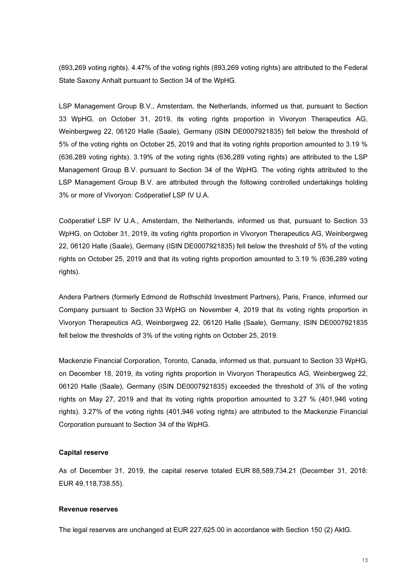(893,269 voting rights). 4.47% of the voting rights (893,269 voting rights) are attributed to the Federal State Saxony Anhalt pursuant to Section 34 of the WpHG.

LSP Management Group B.V., Amsterdam, the Netherlands, informed us that, pursuant to Section 33 WpHG, on October 31, 2019, its voting rights proportion in Vivoryon Therapeutics AG, Weinbergweg 22, 06120 Halle (Saale), Germany (ISIN DE0007921835) fell below the threshold of 5% of the voting rights on October 25, 2019 and that its voting rights proportion amounted to 3.19 % (636,289 voting rights). 3.19% of the voting rights (636,289 voting rights) are attributed to the LSP Management Group B.V. pursuant to Section 34 of the WpHG. The voting rights attributed to the LSP Management Group B.V. are attributed through the following controlled undertakings holding 3% or more of Vivoryon: Coöperatief LSP IV U.A.

Coöperatief LSP IV U.A., Amsterdam, the Netherlands, informed us that, pursuant to Section 33 WpHG, on October 31, 2019, its voting rights proportion in Vivoryon Therapeutics AG, Weinbergweg 22, 06120 Halle (Saale), Germany (ISIN DE0007921835) fell below the threshold of 5% of the voting rights on October 25, 2019 and that its voting rights proportion amounted to 3.19 % (636,289 voting rights).

Andera Partners (formerly Edmond de Rothschild Investment Partners), Paris, France, informed our Company pursuant to Section 33 WpHG on November 4, 2019 that its voting rights proportion in Vivoryon Therapeutics AG, Weinbergweg 22, 06120 Halle (Saale), Germany, ISIN DE0007921835 fell below the thresholds of 3% of the voting rights on October 25, 2019.

Mackenzie Financial Corporation, Toronto, Canada, informed us that, pursuant to Section 33 WpHG, on December 18, 2019, its voting rights proportion in Vivoryon Therapeutics AG, Weinbergweg 22, 06120 Halle (Saale), Germany (ISIN DE0007921835) exceeded the threshold of 3% of the voting rights on May 27, 2019 and that its voting rights proportion amounted to 3.27 % (401,946 voting rights). 3.27% of the voting rights (401,946 voting rights) are attributed to the Mackenzie Financial Corporation pursuant to Section 34 of the WpHG.

#### Capital reserve

As of December 31, 2019, the capital reserve totaled EUR 88,589,734.21 (December 31, 2018: EUR 49,118,738.55).

#### Revenue reserves

The legal reserves are unchanged at EUR 227,625.00 in accordance with Section 150 (2) AktG.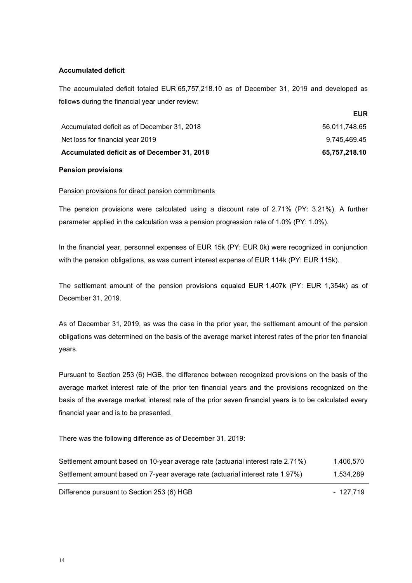#### Accumulated deficit

The accumulated deficit totaled EUR 65,757,218.10 as of December 31, 2019 and developed as follows during the financial year under review:

| Accumulated deficit as of December 31, 2018 | 65.757.218.10 |
|---------------------------------------------|---------------|
| Net loss for financial year 2019            | 9.745.469.45  |
| Accumulated deficit as of December 31, 2018 | 56.011.748.65 |

#### Pension provisions

#### Pension provisions for direct pension commitments

The pension provisions were calculated using a discount rate of 2.71% (PY: 3.21%). A further parameter applied in the calculation was a pension progression rate of 1.0% (PY: 1.0%).

In the financial year, personnel expenses of EUR 15k (PY: EUR 0k) were recognized in conjunction with the pension obligations, as was current interest expense of EUR 114k (PY: EUR 115k).

The settlement amount of the pension provisions equaled EUR 1,407k (PY: EUR 1,354k) as of December 31, 2019.

As of December 31, 2019, as was the case in the prior year, the settlement amount of the pension obligations was determined on the basis of the average market interest rates of the prior ten financial years.

Pursuant to Section 253 (6) HGB, the difference between recognized provisions on the basis of the average market interest rate of the prior ten financial years and the provisions recognized on the basis of the average market interest rate of the prior seven financial years is to be calculated every financial year and is to be presented.

There was the following difference as of December 31, 2019:

| Settlement amount based on 10-year average rate (actuarial interest rate 2.71%) | 1,406,570 |
|---------------------------------------------------------------------------------|-----------|
| Settlement amount based on 7-year average rate (actuarial interest rate 1.97%)  | 1,534,289 |

Difference pursuant to Section 253 (6) HGB - 127,719

EUR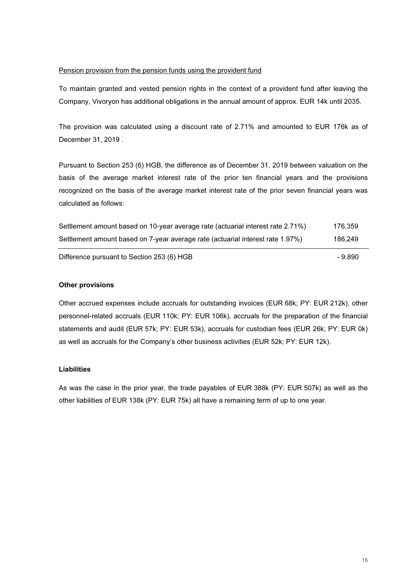#### Pension provision from the pension funds using the provident fund

To maintain granted and vested pension rights in the context of a provident fund after leaving the Company, Vivoryon has additional obligations in the annual amount of approx. EUR 14k until 2035.

The provision was calculated using a discount rate of 2.71% and amounted to EUR 176k as of December 31, 2019 .

Pursuant to Section 253 (6) HGB, the difference as of December 31, 2019 between valuation on the basis of the average market interest rate of the prior ten financial years and the provisions recognized on the basis of the average market interest rate of the prior seven financial years was calculated as follows:

| Settlement amount based on 10-year average rate (actuarial interest rate 2.71%) | 176.359 |
|---------------------------------------------------------------------------------|---------|
| Settlement amount based on 7-year average rate (actuarial interest rate 1.97%)  | 186.249 |

Difference pursuant to Section 253 (6) HGB - 9,890

#### Other provisions

Other accrued expenses include accruals for outstanding invoices (EUR 68k; PY: EUR 212k), other personnel-related accruals (EUR 110k; PY: EUR 106k), accruals for the preparation of the financial statements and audit (EUR 57k; PY: EUR 53k), accruals for custodian fees (EUR 26k; PY: EUR 0k) as well as accruals for the Company's other business activities (EUR 52k; PY: EUR 12k).

#### Liabilities

As was the case in the prior year, the trade payables of EUR 388k (PY: EUR 507k) as well as the other liabilities of EUR 138k (PY: EUR 75k) all have a remaining term of up to one year.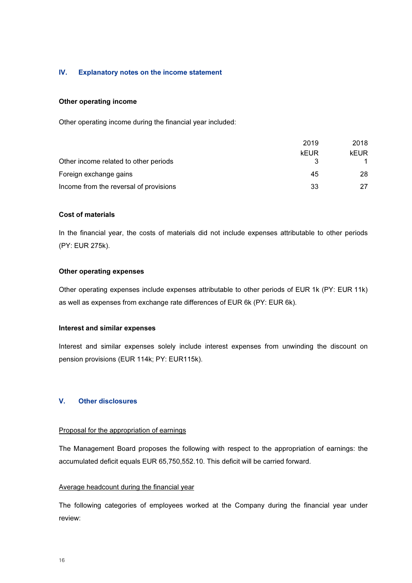#### IV. Explanatory notes on the income statement

#### Other operating income

Other operating income during the financial year included:

|                                        | 2019 | 2018 |
|----------------------------------------|------|------|
|                                        | kEUR | kEUR |
| Other income related to other periods  |      |      |
| Foreign exchange gains                 | 45   | 28   |
| Income from the reversal of provisions | 33   | 27   |

#### Cost of materials

In the financial year, the costs of materials did not include expenses attributable to other periods (PY: EUR 275k).

#### Other operating expenses

Other operating expenses include expenses attributable to other periods of EUR 1k (PY: EUR 11k) as well as expenses from exchange rate differences of EUR 6k (PY: EUR 6k).

#### Interest and similar expenses

Interest and similar expenses solely include interest expenses from unwinding the discount on pension provisions (EUR 114k; PY: EUR115k).

#### V. Other disclosures

#### Proposal for the appropriation of earnings

The Management Board proposes the following with respect to the appropriation of earnings: the accumulated deficit equals EUR 65,750,552.10. This deficit will be carried forward.

#### Average headcount during the financial year

The following categories of employees worked at the Company during the financial year under review: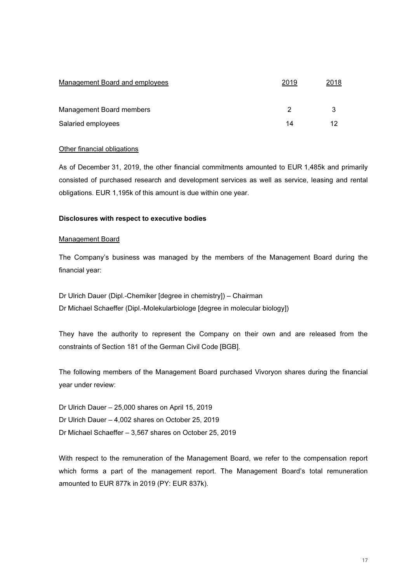| Management Board and employees | 2019 | 2018 |
|--------------------------------|------|------|
| Management Board members       | 2    |      |
| Salaried employees             | 14   |      |

#### Other financial obligations

As of December 31, 2019, the other financial commitments amounted to EUR 1,485k and primarily consisted of purchased research and development services as well as service, leasing and rental obligations. EUR 1,195k of this amount is due within one year.

#### Disclosures with respect to executive bodies

#### Management Board

The Company's business was managed by the members of the Management Board during the financial year:

Dr Ulrich Dauer (Dipl.-Chemiker [degree in chemistry]) – Chairman Dr Michael Schaeffer (Dipl.-Molekularbiologe [degree in molecular biology])

They have the authority to represent the Company on their own and are released from the constraints of Section 181 of the German Civil Code [BGB].

The following members of the Management Board purchased Vivoryon shares during the financial year under review:

- Dr Ulrich Dauer 25,000 shares on April 15, 2019
- Dr Ulrich Dauer 4,002 shares on October 25, 2019
- Dr Michael Schaeffer 3,567 shares on October 25, 2019

With respect to the remuneration of the Management Board, we refer to the compensation report which forms a part of the management report. The Management Board's total remuneration amounted to EUR 877k in 2019 (PY: EUR 837k).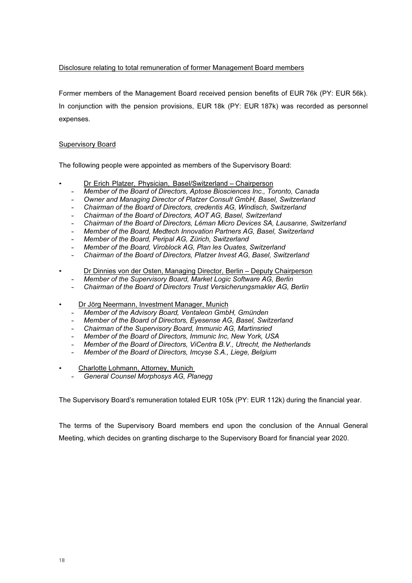#### Disclosure relating to total remuneration of former Management Board members

Former members of the Management Board received pension benefits of EUR 76k (PY: EUR 56k). In conjunction with the pension provisions, EUR 18k (PY: EUR 187k) was recorded as personnel expenses.

#### Supervisory Board

The following people were appointed as members of the Supervisory Board:

- Dr Erich Platzer, Physician, Basel/Switzerland Chairperson
	- Member of the Board of Directors, Aptose Biosciences Inc., Toronto, Canada
	- Owner and Managing Director of Platzer Consult GmbH, Basel, Switzerland
	- Chairman of the Board of Directors, credentis AG, Windisch, Switzerland
	- Chairman of the Board of Directors, AOT AG, Basel, Switzerland
	- Chairman of the Board of Directors, Léman Micro Devices SA, Lausanne, Switzerland
	- Member of the Board, Medtech Innovation Partners AG, Basel, Switzerland
	- Member of the Board, Peripal AG, Zürich, Switzerland
	- Member of the Board, Viroblock AG, Plan les Ouates, Switzerland
	- Chairman of the Board of Directors, Platzer Invest AG, Basel, Switzerland
- Dr Dinnies von der Osten, Managing Director, Berlin Deputy Chairperson
	- Member of the Supervisory Board, Market Logic Software AG, Berlin
	- Chairman of the Board of Directors Trust Versicherungsmakler AG, Berlin
- Dr Jörg Neermann, Investment Manager, Munich
	- Member of the Advisory Board, Ventaleon GmbH, Gmünden
	- Member of the Board of Directors, Eyesense AG, Basel, Switzerland
	- Chairman of the Supervisory Board, Immunic AG, Martinsried
	- Member of the Board of Directors, Immunic Inc, New York, USA
	- Member of the Board of Directors, ViCentra B.V., Utrecht, the Netherlands
	- Member of the Board of Directors, Imcyse S.A., Liege, Belgium
- Charlotte Lohmann, Attorney, Munich
	- General Counsel Morphosys AG, Planegg

The Supervisory Board's remuneration totaled EUR 105k (PY: EUR 112k) during the financial year.

The terms of the Supervisory Board members end upon the conclusion of the Annual General Meeting, which decides on granting discharge to the Supervisory Board for financial year 2020.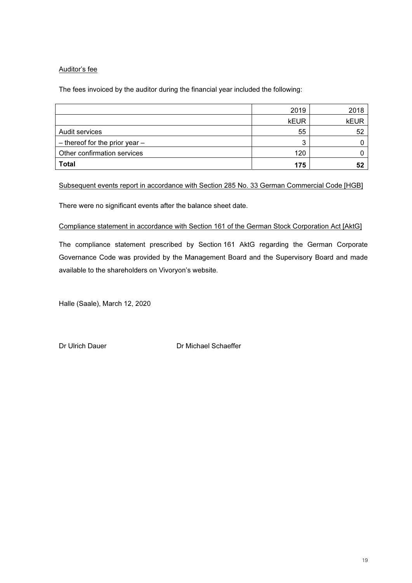#### Auditor's fee

The fees invoiced by the auditor during the financial year included the following:

|                                    | 2019        | 2018        |
|------------------------------------|-------------|-------------|
|                                    | <b>kEUR</b> | <b>kEUR</b> |
| Audit services                     | 55          | 52          |
| $-$ thereof for the prior year $-$ | ◠           |             |
| Other confirmation services        | 120         |             |
| <b>Total</b>                       | 175         | 52          |

Subsequent events report in accordance with Section 285 No. 33 German Commercial Code [HGB]

There were no significant events after the balance sheet date.

#### Compliance statement in accordance with Section 161 of the German Stock Corporation Act [AktG]

The compliance statement prescribed by Section 161 AktG regarding the German Corporate Governance Code was provided by the Management Board and the Supervisory Board and made available to the shareholders on Vivoryon's website.

Halle (Saale), March 12, 2020

Dr Ulrich Dauer **Dr Michael Schaeffer**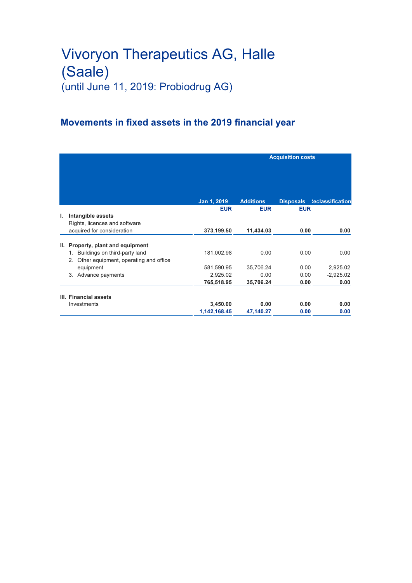## Movements in fixed assets in the 2019 financial year

|    |                                                                                 |              | <b>Acquisition costs</b> |                  |                         |
|----|---------------------------------------------------------------------------------|--------------|--------------------------|------------------|-------------------------|
|    |                                                                                 | Jan 1, 2019  | <b>Additions</b>         | <b>Disposals</b> | <b>Reclassification</b> |
|    |                                                                                 | <b>EUR</b>   | <b>EUR</b>               | <b>EUR</b>       |                         |
| ı. | Intangible assets<br>Rights, licences and software                              |              |                          |                  |                         |
|    | acquired for consideration                                                      | 373,199.50   | 11,434.03                | 0.00             | 0.00                    |
| Ш. | Property, plant and equipment                                                   |              |                          |                  |                         |
|    | 1. Buildings on third-party land<br>Other equipment, operating and office<br>2. | 181,002.98   | 0.00                     | 0.00             | 0.00                    |
|    | equipment                                                                       | 581,590.95   | 35,706.24                | 0.00             | 2,925.02                |
|    | 3. Advance payments                                                             | 2,925.02     | 0.00                     | 0.00             | $-2,925.02$             |
|    |                                                                                 | 765,518.95   | 35,706.24                | 0.00             | 0.00                    |
|    | III. Financial assets                                                           |              |                          |                  |                         |
|    | Investments                                                                     | 3,450.00     | 0.00                     | 0.00             | 0.00                    |
|    |                                                                                 | 1,142,168.45 | 47,140.27                | 0.00             | 0.00                    |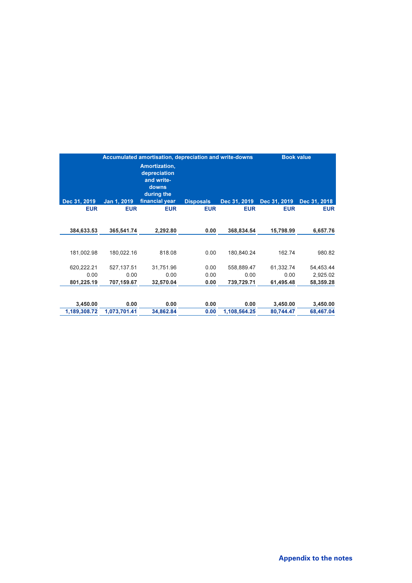| Accumulated amortisation, depreciation and write-downs |                                                                                             |                   |              | <b>Book value</b>    |                       |
|--------------------------------------------------------|---------------------------------------------------------------------------------------------|-------------------|--------------|----------------------|-----------------------|
| Jan 1, 2019                                            | <b>Amortization,</b><br>depreciation<br>and write-<br>downs<br>during the<br>financial year | <b>Disposals</b>  | Dec 31, 2019 | Dec 31, 2019         | Dec 31, 2018          |
|                                                        | <b>EUR</b>                                                                                  | <b>EUR</b>        | <b>EUR</b>   | <b>EUR</b>           | <b>EUR</b>            |
|                                                        | 2,292.80                                                                                    | 0.00              | 368,834.54   | 15,798.99            | 6,657.76              |
| 180.022.16                                             | 818.08                                                                                      | 0.00              | 180.840.24   | 162.74               | 980.82                |
| 527,137.51                                             | 31,751.96                                                                                   | 0.00              | 558.889.47   | 61.332.74            | 54,453.44             |
| 0.00                                                   | 0.00                                                                                        | 0.00              | 0.00         | 0.00                 | 2,925.02              |
| 707,159.67                                             | 32,570.04                                                                                   | 0.00              | 739,729.71   | 61,495.48            | 58,359.28             |
|                                                        |                                                                                             |                   |              |                      |                       |
|                                                        |                                                                                             |                   |              |                      | 3,450.00<br>68,467.04 |
|                                                        | <b>EUR</b><br>365,541.74<br>0.00<br>1,073,701.41                                            | 0.00<br>34,862.84 | 0.00<br>0.00 | 0.00<br>1,108,564.25 | 3,450.00<br>80,744.47 |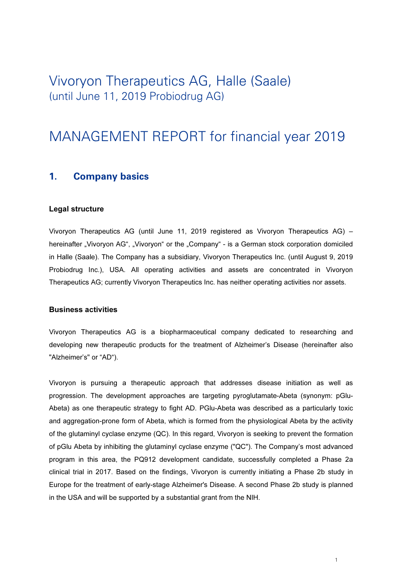# MANAGEMENT REPORT for financial year 2019

#### 1. Company basics

#### Legal structure

Vivoryon Therapeutics AG (until June 11, 2019 registered as Vivoryon Therapeutics AG) – hereinafter "Vivoryon AG", "Vivoryon" or the "Company" - is a German stock corporation domiciled in Halle (Saale). The Company has a subsidiary, Vivoryon Therapeutics Inc. (until August 9, 2019 Probiodrug Inc.), USA. All operating activities and assets are concentrated in Vivoryon Therapeutics AG; currently Vivoryon Therapeutics Inc. has neither operating activities nor assets.

#### Business activities

Vivoryon Therapeutics AG is a biopharmaceutical company dedicated to researching and developing new therapeutic products for the treatment of Alzheimer's Disease (hereinafter also "Alzheimer's" or "AD").

Vivoryon is pursuing a therapeutic approach that addresses disease initiation as well as progression. The development approaches are targeting pyroglutamate-Abeta (synonym: pGlu-Abeta) as one therapeutic strategy to fight AD. PGlu-Abeta was described as a particularly toxic and aggregation-prone form of Abeta, which is formed from the physiological Abeta by the activity of the glutaminyl cyclase enzyme (QC). In this regard, Vivoryon is seeking to prevent the formation of pGlu Abeta by inhibiting the glutaminyl cyclase enzyme ("QC"). The Company's most advanced program in this area, the PQ912 development candidate, successfully completed a Phase 2a clinical trial in 2017. Based on the findings, Vivoryon is currently initiating a Phase 2b study in Europe for the treatment of early-stage Alzheimer's Disease. A second Phase 2b study is planned in the USA and will be supported by a substantial grant from the NIH.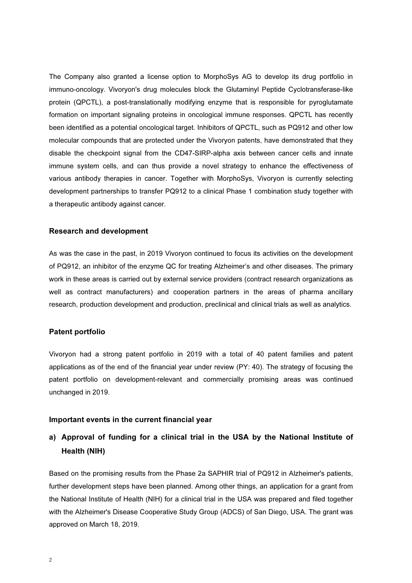The Company also granted a license option to MorphoSys AG to develop its drug portfolio in immuno-oncology. Vivoryon's drug molecules block the Glutaminyl Peptide Cyclotransferase-like protein (QPCTL), a post-translationally modifying enzyme that is responsible for pyroglutamate formation on important signaling proteins in oncological immune responses. QPCTL has recently been identified as a potential oncological target. Inhibitors of QPCTL, such as PQ912 and other low molecular compounds that are protected under the Vivoryon patents, have demonstrated that they disable the checkpoint signal from the CD47-SIRP-alpha axis between cancer cells and innate immune system cells, and can thus provide a novel strategy to enhance the effectiveness of various antibody therapies in cancer. Together with MorphoSys, Vivoryon is currently selecting development partnerships to transfer PQ912 to a clinical Phase 1 combination study together with a therapeutic antibody against cancer.

#### Research and development

As was the case in the past, in 2019 Vivoryon continued to focus its activities on the development of PQ912, an inhibitor of the enzyme QC for treating Alzheimer's and other diseases. The primary work in these areas is carried out by external service providers (contract research organizations as well as contract manufacturers) and cooperation partners in the areas of pharma ancillary research, production development and production, preclinical and clinical trials as well as analytics.

#### Patent portfolio

Vivoryon had a strong patent portfolio in 2019 with a total of 40 patent families and patent applications as of the end of the financial year under review (PY: 40). The strategy of focusing the patent portfolio on development-relevant and commercially promising areas was continued unchanged in 2019.

#### Important events in the current financial year

### a) Approval of funding for a clinical trial in the USA by the National Institute of Health (NIH)

Based on the promising results from the Phase 2a SAPHIR trial of PQ912 in Alzheimer's patients, further development steps have been planned. Among other things, an application for a grant from the National Institute of Health (NIH) for a clinical trial in the USA was prepared and filed together with the Alzheimer's Disease Cooperative Study Group (ADCS) of San Diego, USA. The grant was approved on March 18, 2019.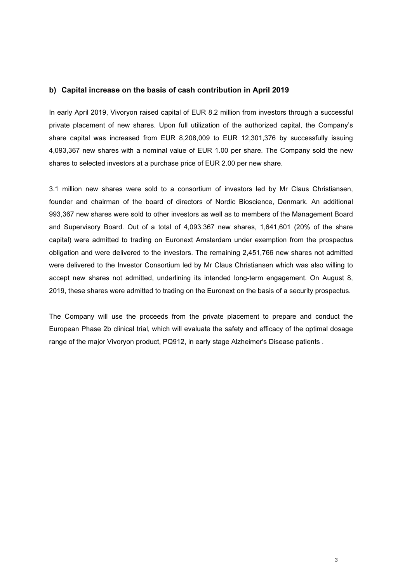#### b) Capital increase on the basis of cash contribution in April 2019

In early April 2019, Vivoryon raised capital of EUR 8.2 million from investors through a successful private placement of new shares. Upon full utilization of the authorized capital, the Company's share capital was increased from EUR 8,208,009 to EUR 12,301,376 by successfully issuing 4,093,367 new shares with a nominal value of EUR 1.00 per share. The Company sold the new shares to selected investors at a purchase price of EUR 2.00 per new share.

3.1 million new shares were sold to a consortium of investors led by Mr Claus Christiansen, founder and chairman of the board of directors of Nordic Bioscience, Denmark. An additional 993,367 new shares were sold to other investors as well as to members of the Management Board and Supervisory Board. Out of a total of 4,093,367 new shares, 1,641,601 (20% of the share capital) were admitted to trading on Euronext Amsterdam under exemption from the prospectus obligation and were delivered to the investors. The remaining 2,451,766 new shares not admitted were delivered to the Investor Consortium led by Mr Claus Christiansen which was also willing to accept new shares not admitted, underlining its intended long-term engagement. On August 8, 2019, these shares were admitted to trading on the Euronext on the basis of a security prospectus.

The Company will use the proceeds from the private placement to prepare and conduct the European Phase 2b clinical trial, which will evaluate the safety and efficacy of the optimal dosage range of the major Vivoryon product, PQ912, in early stage Alzheimer's Disease patients .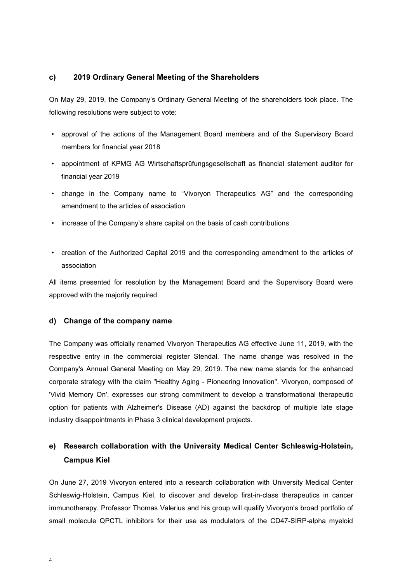#### c) 2019 Ordinary General Meeting of the Shareholders

On May 29, 2019, the Company's Ordinary General Meeting of the shareholders took place. The following resolutions were subject to vote:

- approval of the actions of the Management Board members and of the Supervisory Board members for financial year 2018
- appointment of KPMG AG Wirtschaftsprüfungsgesellschaft as financial statement auditor for financial year 2019
- change in the Company name to "Vivoryon Therapeutics AG" and the corresponding amendment to the articles of association
- increase of the Company's share capital on the basis of cash contributions
- creation of the Authorized Capital 2019 and the corresponding amendment to the articles of association

All items presented for resolution by the Management Board and the Supervisory Board were approved with the majority required.

#### d) Change of the company name

The Company was officially renamed Vivoryon Therapeutics AG effective June 11, 2019, with the respective entry in the commercial register Stendal. The name change was resolved in the Company's Annual General Meeting on May 29, 2019. The new name stands for the enhanced corporate strategy with the claim "Healthy Aging - Pioneering Innovation". Vivoryon, composed of 'Vivid Memory On', expresses our strong commitment to develop a transformational therapeutic option for patients with Alzheimer's Disease (AD) against the backdrop of multiple late stage industry disappointments in Phase 3 clinical development projects.

## e) Research collaboration with the University Medical Center Schleswig-Holstein, Campus Kiel

On June 27, 2019 Vivoryon entered into a research collaboration with University Medical Center Schleswig-Holstein, Campus Kiel, to discover and develop first-in-class therapeutics in cancer immunotherapy. Professor Thomas Valerius and his group will qualify Vivoryon's broad portfolio of small molecule QPCTL inhibitors for their use as modulators of the CD47-SIRP-alpha myeloid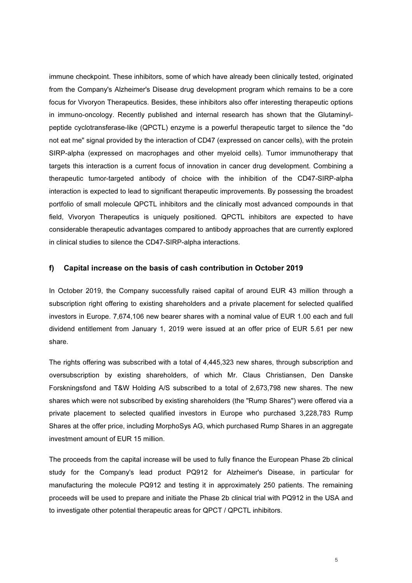immune checkpoint. These inhibitors, some of which have already been clinically tested, originated from the Company's Alzheimer's Disease drug development program which remains to be a core focus for Vivoryon Therapeutics. Besides, these inhibitors also offer interesting therapeutic options in immuno-oncology. Recently published and internal research has shown that the Glutaminylpeptide cyclotransferase-like (QPCTL) enzyme is a powerful therapeutic target to silence the "do not eat me" signal provided by the interaction of CD47 (expressed on cancer cells), with the protein SIRP-alpha (expressed on macrophages and other myeloid cells). Tumor immunotherapy that targets this interaction is a current focus of innovation in cancer drug development. Combining a therapeutic tumor-targeted antibody of choice with the inhibition of the CD47-SIRP-alpha interaction is expected to lead to significant therapeutic improvements. By possessing the broadest portfolio of small molecule QPCTL inhibitors and the clinically most advanced compounds in that field, Vivoryon Therapeutics is uniquely positioned. QPCTL inhibitors are expected to have considerable therapeutic advantages compared to antibody approaches that are currently explored in clinical studies to silence the CD47-SIRP-alpha interactions.

### f) Capital increase on the basis of cash contribution in October 2019

In October 2019, the Company successfully raised capital of around EUR 43 million through a subscription right offering to existing shareholders and a private placement for selected qualified investors in Europe. 7,674,106 new bearer shares with a nominal value of EUR 1.00 each and full dividend entitlement from January 1, 2019 were issued at an offer price of EUR 5.61 per new share.

The rights offering was subscribed with a total of 4,445,323 new shares, through subscription and oversubscription by existing shareholders, of which Mr. Claus Christiansen, Den Danske Forskningsfond and T&W Holding A/S subscribed to a total of 2,673,798 new shares. The new shares which were not subscribed by existing shareholders (the "Rump Shares") were offered via a private placement to selected qualified investors in Europe who purchased 3,228,783 Rump Shares at the offer price, including MorphoSys AG, which purchased Rump Shares in an aggregate investment amount of EUR 15 million.

The proceeds from the capital increase will be used to fully finance the European Phase 2b clinical study for the Company's lead product PQ912 for Alzheimer's Disease, in particular for manufacturing the molecule PQ912 and testing it in approximately 250 patients. The remaining proceeds will be used to prepare and initiate the Phase 2b clinical trial with PQ912 in the USA and to investigate other potential therapeutic areas for QPCT / QPCTL inhibitors.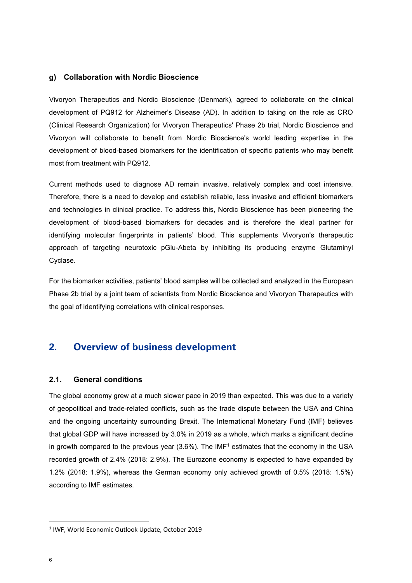### g) Collaboration with Nordic Bioscience

Vivoryon Therapeutics and Nordic Bioscience (Denmark), agreed to collaborate on the clinical development of PQ912 for Alzheimer's Disease (AD). In addition to taking on the role as CRO (Clinical Research Organization) for Vivoryon Therapeutics' Phase 2b trial, Nordic Bioscience and Vivoryon will collaborate to benefit from Nordic Bioscience's world leading expertise in the development of blood-based biomarkers for the identification of specific patients who may benefit most from treatment with PQ912.

Current methods used to diagnose AD remain invasive, relatively complex and cost intensive. Therefore, there is a need to develop and establish reliable, less invasive and efficient biomarkers and technologies in clinical practice. To address this, Nordic Bioscience has been pioneering the development of blood-based biomarkers for decades and is therefore the ideal partner for identifying molecular fingerprints in patients' blood. This supplements Vivoryon's therapeutic approach of targeting neurotoxic pGlu-Abeta by inhibiting its producing enzyme Glutaminyl Cyclase.

For the biomarker activities, patients' blood samples will be collected and analyzed in the European Phase 2b trial by a joint team of scientists from Nordic Bioscience and Vivoryon Therapeutics with the goal of identifying correlations with clinical responses.

### 2. Overview of business development

### 2.1. General conditions

The global economy grew at a much slower pace in 2019 than expected. This was due to a variety of geopolitical and trade-related conflicts, such as the trade dispute between the USA and China and the ongoing uncertainty surrounding Brexit. The International Monetary Fund (IMF) believes that global GDP will have increased by 3.0% in 2019 as a whole, which marks a significant decline in growth compared to the previous year  $(3.6\%)$ . The  $IMF<sup>1</sup>$  estimates that the economy in the USA recorded growth of 2.4% (2018: 2.9%). The Eurozone economy is expected to have expanded by 1.2% (2018: 1.9%), whereas the German economy only achieved growth of 0.5% (2018: 1.5%) according to IMF estimates.

<sup>&</sup>lt;sup>1</sup> IWF, World Economic Outlook Update, October 2019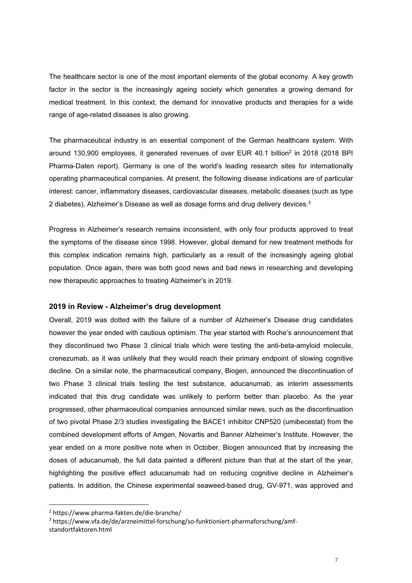The healthcare sector is one of the most important elements of the global economy. A key growth factor in the sector is the increasingly ageing society which generates a growing demand for medical treatment. In this context, the demand for innovative products and therapies for a wide range of age-related diseases is also growing.

The pharmaceutical industry is an essential component of the German healthcare system. With around 130,900 employees, it generated revenues of over EUR 40.1 billion<sup>2</sup> in 2018 (2018 BPI Pharma-Daten report). Germany is one of the world's leading research sites for internationally operating pharmaceutical companies. At present, the following disease indications are of particular interest: cancer, inflammatory diseases, cardiovascular diseases, metabolic diseases (such as type 2 diabetes), Alzheimer's Disease as well as dosage forms and drug delivery devices. $3$ 

Progress in Alzheimer's research remains inconsistent, with only four products approved to treat the symptoms of the disease since 1998. However, global demand for new treatment methods for this complex indication remains high, particularly as a result of the increasingly ageing global population. Once again, there was both good news and bad news in researching and developing new therapeutic approaches to treating Alzheimer's in 2019.

### 2019 in Review - Alzheimer's drug development

Overall, 2019 was dotted with the failure of a number of Alzheimer's Disease drug candidates however the year ended with cautious optimism. The year started with Roche's announcement that they discontinued two Phase 3 clinical trials which were testing the anti-beta-amyloid molecule, crenezumab, as it was unlikely that they would reach their primary endpoint of slowing cognitive decline. On a similar note, the pharmaceutical company, Biogen, announced the discontinuation of two Phase 3 clinical trials testing the test substance, aducanumab, as interim assessments indicated that this drug candidate was unlikely to perform better than placebo. As the year progressed, other pharmaceutical companies announced similar news, such as the discontinuation of two pivotal Phase 2/3 studies investigating the BACE1 inhibitor CNP520 (umibecestat) from the combined development efforts of Amgen, Novartis and Banner Alzheimer's Institute. However, the year ended on a more positive note when in October, Biogen announced that by increasing the doses of aducanumab, the full data painted a different picture than that at the start of the year, highlighting the positive effect aducanumab had on reducing cognitive decline in Alzheimer's patients. In addition, the Chinese experimental seaweed-based drug, GV-971, was approved and

<sup>3</sup> https://www.vfa.de/de/arzneimittel-forschung/so-funktioniert-pharmaforschung/amfstandortfaktoren.html

<sup>2</sup> https://www.pharma-fakten.de/die-branche/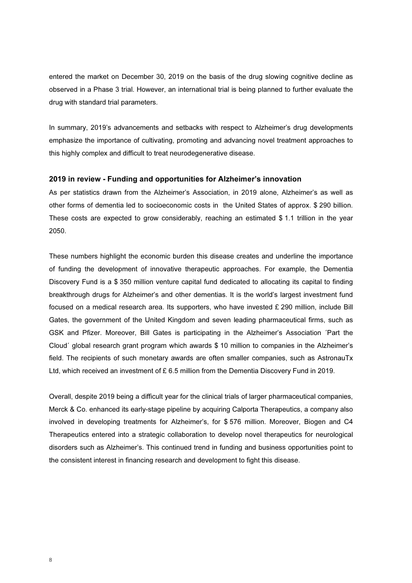entered the market on December 30, 2019 on the basis of the drug slowing cognitive decline as observed in a Phase 3 trial. However, an international trial is being planned to further evaluate the drug with standard trial parameters.

In summary, 2019's advancements and setbacks with respect to Alzheimer's drug developments emphasize the importance of cultivating, promoting and advancing novel treatment approaches to this highly complex and difficult to treat neurodegenerative disease.

### 2019 in review - Funding and opportunities for Alzheimer's innovation

As per statistics drawn from the Alzheimer's Association, in 2019 alone, Alzheimer's as well as other forms of dementia led to socioeconomic costs in the United States of approx. \$ 290 billion. These costs are expected to grow considerably, reaching an estimated \$ 1.1 trillion in the year 2050.

These numbers highlight the economic burden this disease creates and underline the importance of funding the development of innovative therapeutic approaches. For example, the Dementia Discovery Fund is a \$ 350 million venture capital fund dedicated to allocating its capital to finding breakthrough drugs for Alzheimer's and other dementias. It is the world's largest investment fund focused on a medical research area. Its supporters, who have invested £ 290 million, include Bill Gates, the government of the United Kingdom and seven leading pharmaceutical firms, such as GSK and Pfizer. Moreover, Bill Gates is participating in the Alzheimer's Association ´Part the Cloud´ global research grant program which awards \$ 10 million to companies in the Alzheimer's field. The recipients of such monetary awards are often smaller companies, such as AstronauTx Ltd, which received an investment of £ 6.5 million from the Dementia Discovery Fund in 2019.

Overall, despite 2019 being a difficult year for the clinical trials of larger pharmaceutical companies, Merck & Co. enhanced its early-stage pipeline by acquiring Calporta Therapeutics, a company also involved in developing treatments for Alzheimer's, for \$ 576 million. Moreover, Biogen and C4 Therapeutics entered into a strategic collaboration to develop novel therapeutics for neurological disorders such as Alzheimer's. This continued trend in funding and business opportunities point to the consistent interest in financing research and development to fight this disease.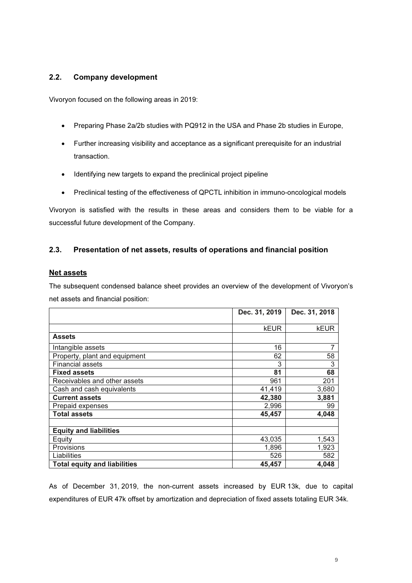### 2.2. Company development

Vivoryon focused on the following areas in 2019:

- Preparing Phase 2a/2b studies with PQ912 in the USA and Phase 2b studies in Europe,
- Further increasing visibility and acceptance as a significant prerequisite for an industrial transaction.
- Identifying new targets to expand the preclinical project pipeline
- Preclinical testing of the effectiveness of QPCTL inhibition in immuno-oncological models

Vivoryon is satisfied with the results in these areas and considers them to be viable for a successful future development of the Company.

### 2.3. Presentation of net assets, results of operations and financial position

### Net assets

The subsequent condensed balance sheet provides an overview of the development of Vivoryon's net assets and financial position:

|                                     | Dec. 31, 2019 | Dec. 31, 2018 |
|-------------------------------------|---------------|---------------|
|                                     |               |               |
|                                     | <b>kEUR</b>   | kEUR          |
| <b>Assets</b>                       |               |               |
| Intangible assets                   | 16            | 7             |
| Property, plant and equipment       | 62            | 58            |
| <b>Financial assets</b>             | 3             | 3             |
| <b>Fixed assets</b>                 | 81            | 68            |
| Receivables and other assets        | 961           | 201           |
| Cash and cash equivalents           | 41,419        | 3,680         |
| <b>Current assets</b>               | 42,380        | 3,881         |
| Prepaid expenses                    | 2,996         | 99            |
| <b>Total assets</b>                 | 45,457        | 4,048         |
| <b>Equity and liabilities</b>       |               |               |
| Equity                              | 43,035        | 1,543         |
| Provisions                          | 1,896         | 1,923         |
| Liabilities                         | 526           | 582           |
| <b>Total equity and liabilities</b> | 45,457        | 4,048         |

As of December 31, 2019, the non-current assets increased by EUR 13k, due to capital expenditures of EUR 47k offset by amortization and depreciation of fixed assets totaling EUR 34k.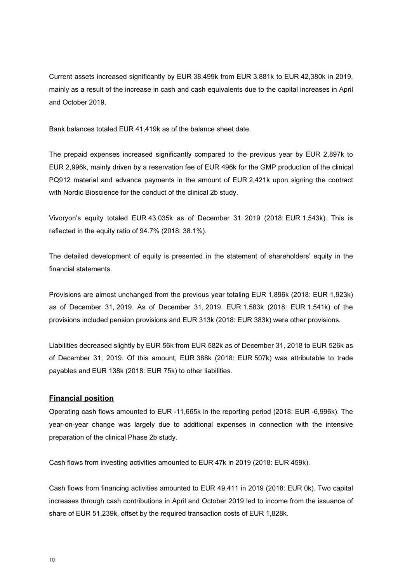Current assets increased significantly by EUR 38,499k from EUR 3,881k to EUR 42,380k in 2019, mainly as a result of the increase in cash and cash equivalents due to the capital increases in April and October 2019.

Bank balances totaled EUR 41,419k as of the balance sheet date.

The prepaid expenses increased significantly compared to the previous year by EUR 2,897k to EUR 2,996k, mainly driven by a reservation fee of EUR 496k for the GMP production of the clinical PQ912 material and advance payments in the amount of EUR 2,421k upon signing the contract with Nordic Bioscience for the conduct of the clinical 2b study.

Vivoryon's equity totaled EUR 43,035k as of December 31, 2019 (2018: EUR 1,543k). This is reflected in the equity ratio of 94.7% (2018: 38.1%).

The detailed development of equity is presented in the statement of shareholders' equity in the financial statements.

Provisions are almost unchanged from the previous year totaling EUR 1,896k (2018: EUR 1,923k) as of December 31, 2019. As of December 31, 2019, EUR 1,583k (2018: EUR 1.541k) of the provisions included pension provisions and EUR 313k (2018: EUR 383k) were other provisions.

Liabilities decreased slightly by EUR 56k from EUR 582k as of December 31, 2018 to EUR 526k as of December 31, 2019. Of this amount, EUR 388k (2018: EUR 507k) was attributable to trade payables and EUR 138k (2018: EUR 75k) to other liabilities.

### Financial position

Operating cash flows amounted to EUR -11,665k in the reporting period (2018: EUR -6,996k). The year-on-year change was largely due to additional expenses in connection with the intensive preparation of the clinical Phase 2b study.

Cash flows from investing activities amounted to EUR 47k in 2019 (2018: EUR 459k).

Cash flows from financing activities amounted to EUR 49,411 in 2019 (2018: EUR 0k). Two capital increases through cash contributions in April and October 2019 led to income from the issuance of share of EUR 51,239k, offset by the required transaction costs of EUR 1,828k.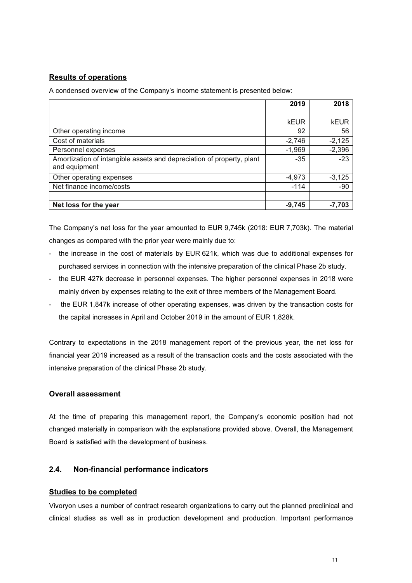### Results of operations

A condensed overview of the Company's income statement is presented below:

|                                                                       | 2019     | 2018        |
|-----------------------------------------------------------------------|----------|-------------|
|                                                                       |          |             |
|                                                                       | kEUR     | <b>kEUR</b> |
| Other operating income                                                | 92       | 56          |
| Cost of materials                                                     | $-2,746$ | $-2,125$    |
| Personnel expenses                                                    | $-1,969$ | $-2,396$    |
| Amortization of intangible assets and depreciation of property, plant | $-35$    | $-23$       |
| and equipment                                                         |          |             |
| Other operating expenses                                              | $-4,973$ | $-3,125$    |
| Net finance income/costs                                              | $-114$   | $-90$       |
|                                                                       |          |             |
| Net loss for the year                                                 | $-9,745$ | $-7,703$    |

The Company's net loss for the year amounted to EUR 9,745k (2018: EUR 7,703k). The material changes as compared with the prior year were mainly due to:

- the increase in the cost of materials by EUR 621k, which was due to additional expenses for purchased services in connection with the intensive preparation of the clinical Phase 2b study.
- the EUR 427k decrease in personnel expenses. The higher personnel expenses in 2018 were mainly driven by expenses relating to the exit of three members of the Management Board.
- the EUR 1,847k increase of other operating expenses, was driven by the transaction costs for the capital increases in April and October 2019 in the amount of EUR 1,828k.

Contrary to expectations in the 2018 management report of the previous year, the net loss for financial year 2019 increased as a result of the transaction costs and the costs associated with the intensive preparation of the clinical Phase 2b study.

### Overall assessment

At the time of preparing this management report, the Company's economic position had not changed materially in comparison with the explanations provided above. Overall, the Management Board is satisfied with the development of business.

### 2.4. Non-financial performance indicators

### Studies to be completed

Vivoryon uses a number of contract research organizations to carry out the planned preclinical and clinical studies as well as in production development and production. Important performance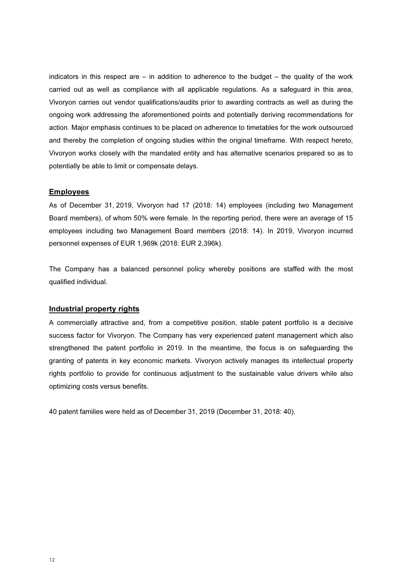indicators in this respect are  $-$  in addition to adherence to the budget  $-$  the quality of the work carried out as well as compliance with all applicable regulations. As a safeguard in this area, Vivoryon carries out vendor qualifications/audits prior to awarding contracts as well as during the ongoing work addressing the aforementioned points and potentially deriving recommendations for action. Major emphasis continues to be placed on adherence to timetables for the work outsourced and thereby the completion of ongoing studies within the original timeframe. With respect hereto, Vivoryon works closely with the mandated entity and has alternative scenarios prepared so as to potentially be able to limit or compensate delays.

### **Employees**

As of December 31, 2019, Vivoryon had 17 (2018: 14) employees (including two Management Board members), of whom 50% were female. In the reporting period, there were an average of 15 employees including two Management Board members (2018: 14). In 2019, Vivoryon incurred personnel expenses of EUR 1,969k (2018: EUR 2,396k).

The Company has a balanced personnel policy whereby positions are staffed with the most qualified individual.

### Industrial property rights

A commercially attractive and, from a competitive position, stable patent portfolio is a decisive success factor for Vivoryon. The Company has very experienced patent management which also strengthened the patent portfolio in 2019. In the meantime, the focus is on safeguarding the granting of patents in key economic markets. Vivoryon actively manages its intellectual property rights portfolio to provide for continuous adjustment to the sustainable value drivers while also optimizing costs versus benefits.

40 patent families were held as of December 31, 2019 (December 31, 2018: 40).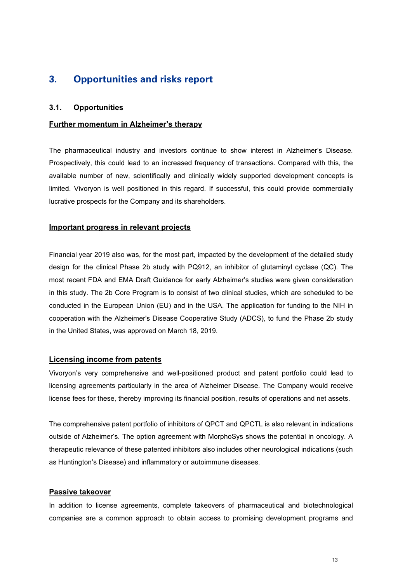# 3. Opportunities and risks report

### 3.1. Opportunities

### Further momentum in Alzheimer's therapy

The pharmaceutical industry and investors continue to show interest in Alzheimer's Disease. Prospectively, this could lead to an increased frequency of transactions. Compared with this, the available number of new, scientifically and clinically widely supported development concepts is limited. Vivoryon is well positioned in this regard. If successful, this could provide commercially lucrative prospects for the Company and its shareholders.

### Important progress in relevant projects

Financial year 2019 also was, for the most part, impacted by the development of the detailed study design for the clinical Phase 2b study with PQ912, an inhibitor of glutaminyl cyclase (QC). The most recent FDA and EMA Draft Guidance for early Alzheimer's studies were given consideration in this study. The 2b Core Program is to consist of two clinical studies, which are scheduled to be conducted in the European Union (EU) and in the USA. The application for funding to the NIH in cooperation with the Alzheimer's Disease Cooperative Study (ADCS), to fund the Phase 2b study in the United States, was approved on March 18, 2019.

### Licensing income from patents

Vivoryon's very comprehensive and well-positioned product and patent portfolio could lead to licensing agreements particularly in the area of Alzheimer Disease. The Company would receive license fees for these, thereby improving its financial position, results of operations and net assets.

The comprehensive patent portfolio of inhibitors of QPCT and QPCTL is also relevant in indications outside of Alzheimer's. The option agreement with MorphoSys shows the potential in oncology. A therapeutic relevance of these patented inhibitors also includes other neurological indications (such as Huntington's Disease) and inflammatory or autoimmune diseases.

### Passive takeover

In addition to license agreements, complete takeovers of pharmaceutical and biotechnological companies are a common approach to obtain access to promising development programs and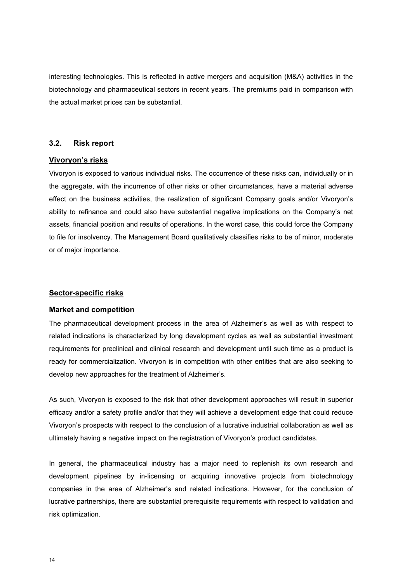interesting technologies. This is reflected in active mergers and acquisition (M&A) activities in the biotechnology and pharmaceutical sectors in recent years. The premiums paid in comparison with the actual market prices can be substantial.

### 3.2. Risk report

### Vivoryon's risks

Vivoryon is exposed to various individual risks. The occurrence of these risks can, individually or in the aggregate, with the incurrence of other risks or other circumstances, have a material adverse effect on the business activities, the realization of significant Company goals and/or Vivoryon's ability to refinance and could also have substantial negative implications on the Company's net assets, financial position and results of operations. In the worst case, this could force the Company to file for insolvency. The Management Board qualitatively classifies risks to be of minor, moderate or of major importance.

### Sector-specific risks

### Market and competition

The pharmaceutical development process in the area of Alzheimer's as well as with respect to related indications is characterized by long development cycles as well as substantial investment requirements for preclinical and clinical research and development until such time as a product is ready for commercialization. Vivoryon is in competition with other entities that are also seeking to develop new approaches for the treatment of Alzheimer's.

As such, Vivoryon is exposed to the risk that other development approaches will result in superior efficacy and/or a safety profile and/or that they will achieve a development edge that could reduce Vivoryon's prospects with respect to the conclusion of a lucrative industrial collaboration as well as ultimately having a negative impact on the registration of Vivoryon's product candidates.

In general, the pharmaceutical industry has a major need to replenish its own research and development pipelines by in-licensing or acquiring innovative projects from biotechnology companies in the area of Alzheimer's and related indications. However, for the conclusion of lucrative partnerships, there are substantial prerequisite requirements with respect to validation and risk optimization.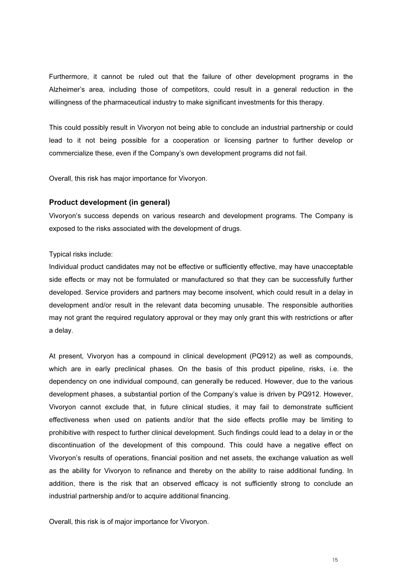Furthermore, it cannot be ruled out that the failure of other development programs in the Alzheimer's area, including those of competitors, could result in a general reduction in the willingness of the pharmaceutical industry to make significant investments for this therapy.

This could possibly result in Vivoryon not being able to conclude an industrial partnership or could lead to it not being possible for a cooperation or licensing partner to further develop or commercialize these, even if the Company's own development programs did not fail.

Overall, this risk has major importance for Vivoryon.

### Product development (in general)

Vivoryon's success depends on various research and development programs. The Company is exposed to the risks associated with the development of drugs.

### Typical risks include:

Individual product candidates may not be effective or sufficiently effective, may have unacceptable side effects or may not be formulated or manufactured so that they can be successfully further developed. Service providers and partners may become insolvent, which could result in a delay in development and/or result in the relevant data becoming unusable. The responsible authorities may not grant the required regulatory approval or they may only grant this with restrictions or after a delay.

At present, Vivoryon has a compound in clinical development (PQ912) as well as compounds, which are in early preclinical phases. On the basis of this product pipeline, risks, i.e. the dependency on one individual compound, can generally be reduced. However, due to the various development phases, a substantial portion of the Company's value is driven by PQ912. However, Vivoryon cannot exclude that, in future clinical studies, it may fail to demonstrate sufficient effectiveness when used on patients and/or that the side effects profile may be limiting to prohibitive with respect to further clinical development. Such findings could lead to a delay in or the discontinuation of the development of this compound. This could have a negative effect on Vivoryon's results of operations, financial position and net assets, the exchange valuation as well as the ability for Vivoryon to refinance and thereby on the ability to raise additional funding. In addition, there is the risk that an observed efficacy is not sufficiently strong to conclude an industrial partnership and/or to acquire additional financing.

Overall, this risk is of major importance for Vivoryon.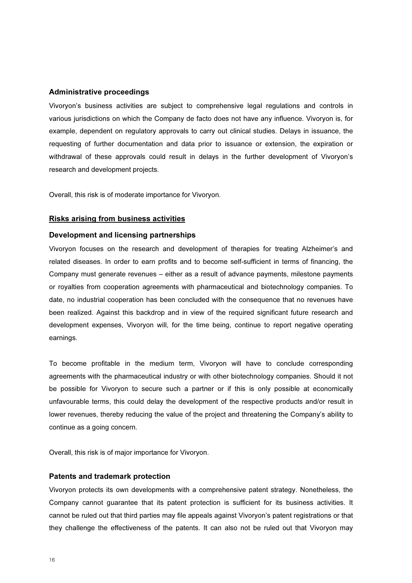### Administrative proceedings

Vivoryon's business activities are subject to comprehensive legal regulations and controls in various jurisdictions on which the Company de facto does not have any influence. Vivoryon is, for example, dependent on regulatory approvals to carry out clinical studies. Delays in issuance, the requesting of further documentation and data prior to issuance or extension, the expiration or withdrawal of these approvals could result in delays in the further development of Vivoryon's research and development projects.

Overall, this risk is of moderate importance for Vivoryon.

### Risks arising from business activities

### Development and licensing partnerships

Vivoryon focuses on the research and development of therapies for treating Alzheimer's and related diseases. In order to earn profits and to become self-sufficient in terms of financing, the Company must generate revenues – either as a result of advance payments, milestone payments or royalties from cooperation agreements with pharmaceutical and biotechnology companies. To date, no industrial cooperation has been concluded with the consequence that no revenues have been realized. Against this backdrop and in view of the required significant future research and development expenses, Vivoryon will, for the time being, continue to report negative operating earnings.

To become profitable in the medium term, Vivoryon will have to conclude corresponding agreements with the pharmaceutical industry or with other biotechnology companies. Should it not be possible for Vivoryon to secure such a partner or if this is only possible at economically unfavourable terms, this could delay the development of the respective products and/or result in lower revenues, thereby reducing the value of the project and threatening the Company's ability to continue as a going concern.

Overall, this risk is of major importance for Vivoryon.

#### Patents and trademark protection

Vivoryon protects its own developments with a comprehensive patent strategy. Nonetheless, the Company cannot guarantee that its patent protection is sufficient for its business activities. It cannot be ruled out that third parties may file appeals against Vivoryon's patent registrations or that they challenge the effectiveness of the patents. It can also not be ruled out that Vivoryon may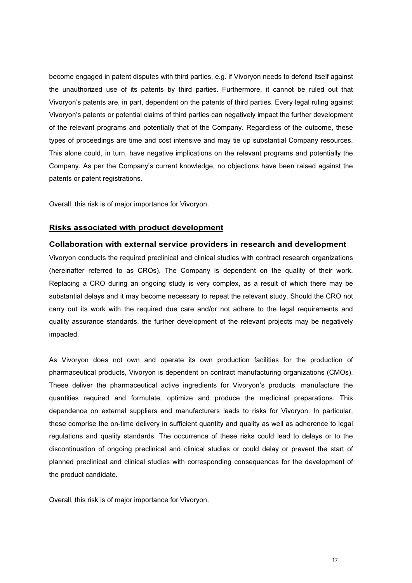become engaged in patent disputes with third parties, e.g. if Vivoryon needs to defend itself against the unauthorized use of its patents by third parties. Furthermore, it cannot be ruled out that Vivoryon's patents are, in part, dependent on the patents of third parties. Every legal ruling against Vivoryon's patents or potential claims of third parties can negatively impact the further development of the relevant programs and potentially that of the Company. Regardless of the outcome, these types of proceedings are time and cost intensive and may tie up substantial Company resources. This alone could, in turn, have negative implications on the relevant programs and potentially the Company. As per the Company's current knowledge, no objections have been raised against the patents or patent registrations.

Overall, this risk is of major importance for Vivoryon.

### Risks associated with product development

### Collaboration with external service providers in research and development

Vivoryon conducts the required preclinical and clinical studies with contract research organizations (hereinafter referred to as CROs). The Company is dependent on the quality of their work. Replacing a CRO during an ongoing study is very complex, as a result of which there may be substantial delays and it may become necessary to repeat the relevant study. Should the CRO not carry out its work with the required due care and/or not adhere to the legal requirements and quality assurance standards, the further development of the relevant projects may be negatively impacted.

As Vivoryon does not own and operate its own production facilities for the production of pharmaceutical products, Vivoryon is dependent on contract manufacturing organizations (CMOs). These deliver the pharmaceutical active ingredients for Vivoryon's products, manufacture the quantities required and formulate, optimize and produce the medicinal preparations. This dependence on external suppliers and manufacturers leads to risks for Vivoryon. In particular, these comprise the on-time delivery in sufficient quantity and quality as well as adherence to legal regulations and quality standards. The occurrence of these risks could lead to delays or to the discontinuation of ongoing preclinical and clinical studies or could delay or prevent the start of planned preclinical and clinical studies with corresponding consequences for the development of the product candidate.

Overall, this risk is of major importance for Vivoryon.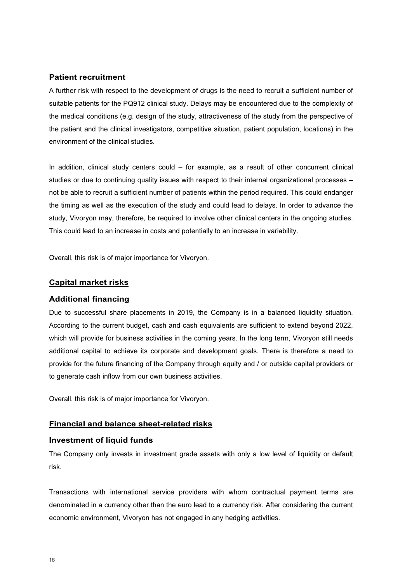### Patient recruitment

A further risk with respect to the development of drugs is the need to recruit a sufficient number of suitable patients for the PQ912 clinical study. Delays may be encountered due to the complexity of the medical conditions (e.g. design of the study, attractiveness of the study from the perspective of the patient and the clinical investigators, competitive situation, patient population, locations) in the environment of the clinical studies.

In addition, clinical study centers could – for example, as a result of other concurrent clinical studies or due to continuing quality issues with respect to their internal organizational processes – not be able to recruit a sufficient number of patients within the period required. This could endanger the timing as well as the execution of the study and could lead to delays. In order to advance the study, Vivoryon may, therefore, be required to involve other clinical centers in the ongoing studies. This could lead to an increase in costs and potentially to an increase in variability.

Overall, this risk is of major importance for Vivoryon.

### Capital market risks

#### Additional financing

Due to successful share placements in 2019, the Company is in a balanced liquidity situation. According to the current budget, cash and cash equivalents are sufficient to extend beyond 2022, which will provide for business activities in the coming years. In the long term, Vivoryon still needs additional capital to achieve its corporate and development goals. There is therefore a need to provide for the future financing of the Company through equity and / or outside capital providers or to generate cash inflow from our own business activities.

Overall, this risk is of major importance for Vivoryon.

### Financial and balance sheet-related risks

### Investment of liquid funds

The Company only invests in investment grade assets with only a low level of liquidity or default risk.

Transactions with international service providers with whom contractual payment terms are denominated in a currency other than the euro lead to a currency risk. After considering the current economic environment, Vivoryon has not engaged in any hedging activities.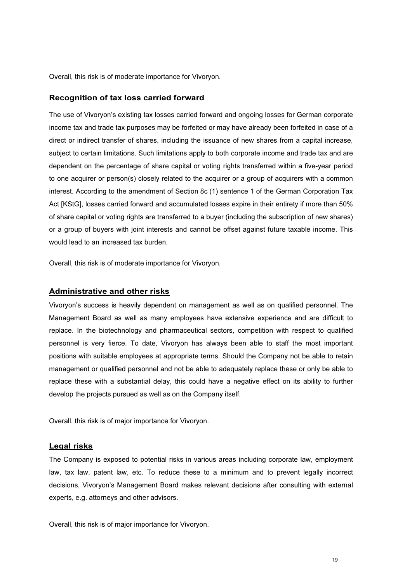Overall, this risk is of moderate importance for Vivoryon.

### Recognition of tax loss carried forward

The use of Vivoryon's existing tax losses carried forward and ongoing losses for German corporate income tax and trade tax purposes may be forfeited or may have already been forfeited in case of a direct or indirect transfer of shares, including the issuance of new shares from a capital increase, subject to certain limitations. Such limitations apply to both corporate income and trade tax and are dependent on the percentage of share capital or voting rights transferred within a five-year period to one acquirer or person(s) closely related to the acquirer or a group of acquirers with a common interest. According to the amendment of Section 8c (1) sentence 1 of the German Corporation Tax Act [KStG], losses carried forward and accumulated losses expire in their entirety if more than 50% of share capital or voting rights are transferred to a buyer (including the subscription of new shares) or a group of buyers with joint interests and cannot be offset against future taxable income. This would lead to an increased tax burden.

Overall, this risk is of moderate importance for Vivoryon.

### Administrative and other risks

Vivoryon's success is heavily dependent on management as well as on qualified personnel. The Management Board as well as many employees have extensive experience and are difficult to replace. In the biotechnology and pharmaceutical sectors, competition with respect to qualified personnel is very fierce. To date, Vivoryon has always been able to staff the most important positions with suitable employees at appropriate terms. Should the Company not be able to retain management or qualified personnel and not be able to adequately replace these or only be able to replace these with a substantial delay, this could have a negative effect on its ability to further develop the projects pursued as well as on the Company itself.

Overall, this risk is of major importance for Vivoryon.

### Legal risks

The Company is exposed to potential risks in various areas including corporate law, employment law, tax law, patent law, etc. To reduce these to a minimum and to prevent legally incorrect decisions, Vivoryon's Management Board makes relevant decisions after consulting with external experts, e.g. attorneys and other advisors.

Overall, this risk is of major importance for Vivoryon.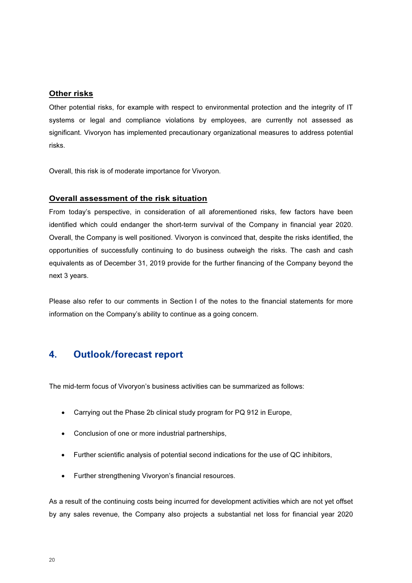### **Other risks**

Other potential risks, for example with respect to environmental protection and the integrity of IT systems or legal and compliance violations by employees, are currently not assessed as significant. Vivoryon has implemented precautionary organizational measures to address potential risks.

Overall, this risk is of moderate importance for Vivoryon.

### Overall assessment of the risk situation

From today's perspective, in consideration of all aforementioned risks, few factors have been identified which could endanger the short-term survival of the Company in financial year 2020. Overall, the Company is well positioned. Vivoryon is convinced that, despite the risks identified, the opportunities of successfully continuing to do business outweigh the risks. The cash and cash equivalents as of December 31, 2019 provide for the further financing of the Company beyond the next 3 years.

Please also refer to our comments in Section I of the notes to the financial statements for more information on the Company's ability to continue as a going concern.

# 4. Outlook/forecast report

The mid-term focus of Vivoryon's business activities can be summarized as follows:

- Carrying out the Phase 2b clinical study program for PQ 912 in Europe,
- Conclusion of one or more industrial partnerships,
- Further scientific analysis of potential second indications for the use of QC inhibitors,
- Further strengthening Vivoryon's financial resources.

As a result of the continuing costs being incurred for development activities which are not yet offset by any sales revenue, the Company also projects a substantial net loss for financial year 2020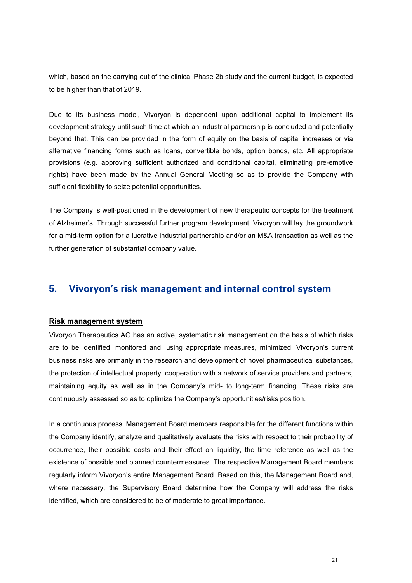which, based on the carrying out of the clinical Phase 2b study and the current budget, is expected to be higher than that of 2019.

Due to its business model, Vivoryon is dependent upon additional capital to implement its development strategy until such time at which an industrial partnership is concluded and potentially beyond that. This can be provided in the form of equity on the basis of capital increases or via alternative financing forms such as loans, convertible bonds, option bonds, etc. All appropriate provisions (e.g. approving sufficient authorized and conditional capital, eliminating pre-emptive rights) have been made by the Annual General Meeting so as to provide the Company with sufficient flexibility to seize potential opportunities.

The Company is well-positioned in the development of new therapeutic concepts for the treatment of Alzheimer's. Through successful further program development, Vivoryon will lay the groundwork for a mid-term option for a lucrative industrial partnership and/or an M&A transaction as well as the further generation of substantial company value.

# 5. Vivoryon's risk management and internal control system

### Risk management system

Vivoryon Therapeutics AG has an active, systematic risk management on the basis of which risks are to be identified, monitored and, using appropriate measures, minimized. Vivoryon's current business risks are primarily in the research and development of novel pharmaceutical substances, the protection of intellectual property, cooperation with a network of service providers and partners, maintaining equity as well as in the Company's mid- to long-term financing. These risks are continuously assessed so as to optimize the Company's opportunities/risks position.

In a continuous process, Management Board members responsible for the different functions within the Company identify, analyze and qualitatively evaluate the risks with respect to their probability of occurrence, their possible costs and their effect on liquidity, the time reference as well as the existence of possible and planned countermeasures. The respective Management Board members regularly inform Vivoryon's entire Management Board. Based on this, the Management Board and, where necessary, the Supervisory Board determine how the Company will address the risks identified, which are considered to be of moderate to great importance.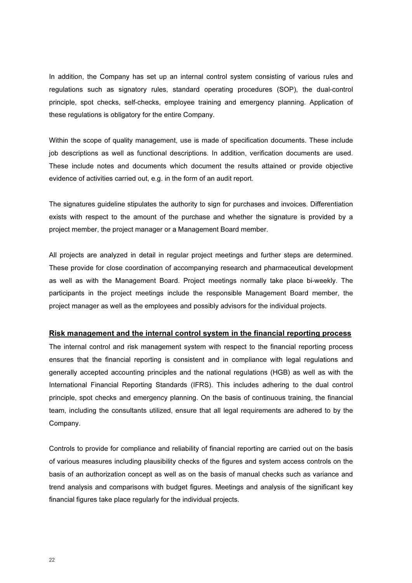In addition, the Company has set up an internal control system consisting of various rules and regulations such as signatory rules, standard operating procedures (SOP), the dual-control principle, spot checks, self-checks, employee training and emergency planning. Application of these regulations is obligatory for the entire Company.

Within the scope of quality management, use is made of specification documents. These include job descriptions as well as functional descriptions. In addition, verification documents are used. These include notes and documents which document the results attained or provide objective evidence of activities carried out, e.g. in the form of an audit report.

The signatures guideline stipulates the authority to sign for purchases and invoices. Differentiation exists with respect to the amount of the purchase and whether the signature is provided by a project member, the project manager or a Management Board member.

All projects are analyzed in detail in regular project meetings and further steps are determined. These provide for close coordination of accompanying research and pharmaceutical development as well as with the Management Board. Project meetings normally take place bi-weekly. The participants in the project meetings include the responsible Management Board member, the project manager as well as the employees and possibly advisors for the individual projects.

### Risk management and the internal control system in the financial reporting process

The internal control and risk management system with respect to the financial reporting process ensures that the financial reporting is consistent and in compliance with legal regulations and generally accepted accounting principles and the national regulations (HGB) as well as with the International Financial Reporting Standards (IFRS). This includes adhering to the dual control principle, spot checks and emergency planning. On the basis of continuous training, the financial team, including the consultants utilized, ensure that all legal requirements are adhered to by the Company.

Controls to provide for compliance and reliability of financial reporting are carried out on the basis of various measures including plausibility checks of the figures and system access controls on the basis of an authorization concept as well as on the basis of manual checks such as variance and trend analysis and comparisons with budget figures. Meetings and analysis of the significant key financial figures take place regularly for the individual projects.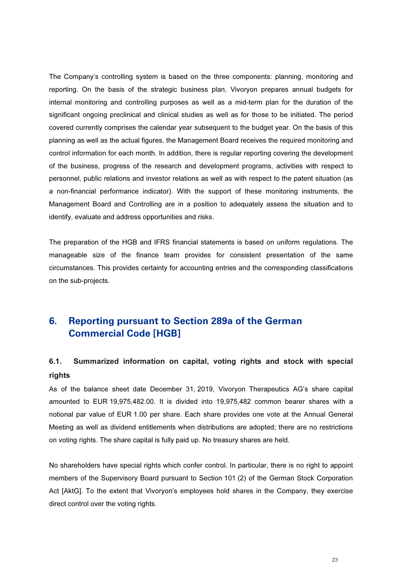The Company's controlling system is based on the three components: planning, monitoring and reporting. On the basis of the strategic business plan, Vivoryon prepares annual budgets for internal monitoring and controlling purposes as well as a mid-term plan for the duration of the significant ongoing preclinical and clinical studies as well as for those to be initiated. The period covered currently comprises the calendar year subsequent to the budget year. On the basis of this planning as well as the actual figures, the Management Board receives the required monitoring and control information for each month. In addition, there is regular reporting covering the development of the business, progress of the research and development programs, activities with respect to personnel, public relations and investor relations as well as with respect to the patent situation (as a non-financial performance indicator). With the support of these monitoring instruments, the Management Board and Controlling are in a position to adequately assess the situation and to identify, evaluate and address opportunities and risks.

The preparation of the HGB and IFRS financial statements is based on uniform regulations. The manageable size of the finance team provides for consistent presentation of the same circumstances. This provides certainty for accounting entries and the corresponding classifications on the sub-projects.

# 6. Reporting pursuant to Section 289a of the German Commercial Code [HGB]

# 6.1. Summarized information on capital, voting rights and stock with special rights

As of the balance sheet date December 31, 2019, Vivoryon Therapeutics AG's share capital amounted to EUR 19,975,482.00. It is divided into 19,975,482 common bearer shares with a notional par value of EUR 1.00 per share. Each share provides one vote at the Annual General Meeting as well as dividend entitlements when distributions are adopted; there are no restrictions on voting rights. The share capital is fully paid up. No treasury shares are held.

No shareholders have special rights which confer control. In particular, there is no right to appoint members of the Supervisory Board pursuant to Section 101 (2) of the German Stock Corporation Act [AktG]. To the extent that Vivoryon's employees hold shares in the Company, they exercise direct control over the voting rights.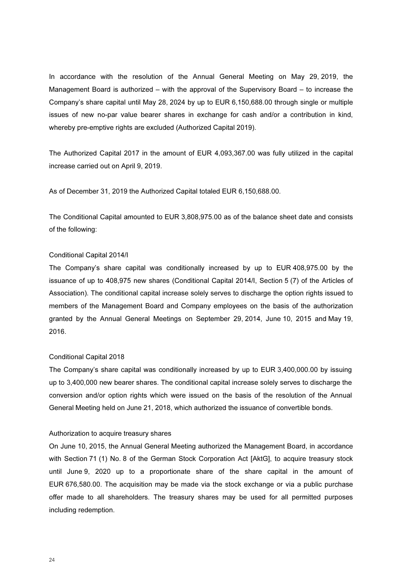In accordance with the resolution of the Annual General Meeting on May 29, 2019, the Management Board is authorized – with the approval of the Supervisory Board – to increase the Company's share capital until May 28, 2024 by up to EUR 6,150,688.00 through single or multiple issues of new no-par value bearer shares in exchange for cash and/or a contribution in kind, whereby pre-emptive rights are excluded (Authorized Capital 2019).

The Authorized Capital 2017 in the amount of EUR 4,093,367.00 was fully utilized in the capital increase carried out on April 9, 2019.

As of December 31, 2019 the Authorized Capital totaled EUR 6,150,688.00.

The Conditional Capital amounted to EUR 3,808,975.00 as of the balance sheet date and consists of the following:

### Conditional Capital 2014/I

The Company's share capital was conditionally increased by up to EUR 408,975.00 by the issuance of up to 408,975 new shares (Conditional Capital 2014/I, Section 5 (7) of the Articles of Association). The conditional capital increase solely serves to discharge the option rights issued to members of the Management Board and Company employees on the basis of the authorization granted by the Annual General Meetings on September 29, 2014, June 10, 2015 and May 19, 2016.

### Conditional Capital 2018

The Company's share capital was conditionally increased by up to EUR 3,400,000.00 by issuing up to 3,400,000 new bearer shares. The conditional capital increase solely serves to discharge the conversion and/or option rights which were issued on the basis of the resolution of the Annual General Meeting held on June 21, 2018, which authorized the issuance of convertible bonds.

### Authorization to acquire treasury shares

On June 10, 2015, the Annual General Meeting authorized the Management Board, in accordance with Section 71 (1) No. 8 of the German Stock Corporation Act [AktG], to acquire treasury stock until June 9, 2020 up to a proportionate share of the share capital in the amount of EUR 676,580.00. The acquisition may be made via the stock exchange or via a public purchase offer made to all shareholders. The treasury shares may be used for all permitted purposes including redemption.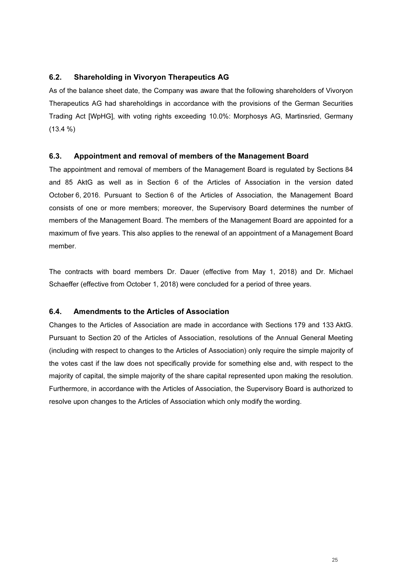### 6.2. Shareholding in Vivoryon Therapeutics AG

As of the balance sheet date, the Company was aware that the following shareholders of Vivoryon Therapeutics AG had shareholdings in accordance with the provisions of the German Securities Trading Act [WpHG], with voting rights exceeding 10.0%: Morphosys AG, Martinsried, Germany (13.4 %)

### 6.3. Appointment and removal of members of the Management Board

The appointment and removal of members of the Management Board is regulated by Sections 84 and 85 AktG as well as in Section 6 of the Articles of Association in the version dated October 6, 2016. Pursuant to Section 6 of the Articles of Association, the Management Board consists of one or more members; moreover, the Supervisory Board determines the number of members of the Management Board. The members of the Management Board are appointed for a maximum of five years. This also applies to the renewal of an appointment of a Management Board member.

The contracts with board members Dr. Dauer (effective from May 1, 2018) and Dr. Michael Schaeffer (effective from October 1, 2018) were concluded for a period of three years.

### 6.4. Amendments to the Articles of Association

Changes to the Articles of Association are made in accordance with Sections 179 and 133 AktG. Pursuant to Section 20 of the Articles of Association, resolutions of the Annual General Meeting (including with respect to changes to the Articles of Association) only require the simple majority of the votes cast if the law does not specifically provide for something else and, with respect to the majority of capital, the simple majority of the share capital represented upon making the resolution. Furthermore, in accordance with the Articles of Association, the Supervisory Board is authorized to resolve upon changes to the Articles of Association which only modify the wording.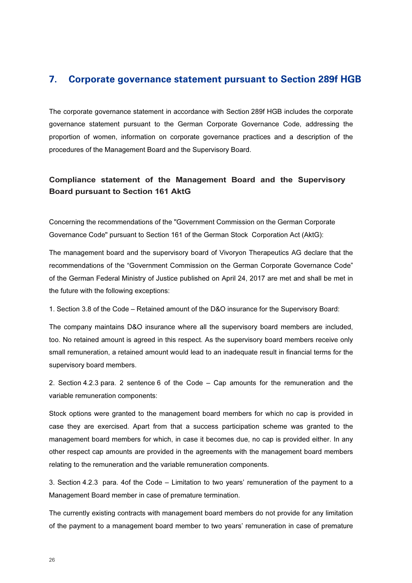# 7. Corporate governance statement pursuant to Section 289f HGB

The corporate governance statement in accordance with Section 289f HGB includes the corporate governance statement pursuant to the German Corporate Governance Code, addressing the proportion of women, information on corporate governance practices and a description of the procedures of the Management Board and the Supervisory Board.

# Compliance statement of the Management Board and the Supervisory Board pursuant to Section 161 AktG

Concerning the recommendations of the "Government Commission on the German Corporate Governance Code" pursuant to Section 161 of the German Stock Corporation Act (AktG):

The management board and the supervisory board of Vivoryon Therapeutics AG declare that the recommendations of the "Government Commission on the German Corporate Governance Code" of the German Federal Ministry of Justice published on April 24, 2017 are met and shall be met in the future with the following exceptions:

1. Section 3.8 of the Code – Retained amount of the D&O insurance for the Supervisory Board:

The company maintains D&O insurance where all the supervisory board members are included, too. No retained amount is agreed in this respect. As the supervisory board members receive only small remuneration, a retained amount would lead to an inadequate result in financial terms for the supervisory board members.

2. Section 4.2.3 para. 2 sentence 6 of the Code – Cap amounts for the remuneration and the variable remuneration components:

Stock options were granted to the management board members for which no cap is provided in case they are exercised. Apart from that a success participation scheme was granted to the management board members for which, in case it becomes due, no cap is provided either. In any other respect cap amounts are provided in the agreements with the management board members relating to the remuneration and the variable remuneration components.

3. Section 4.2.3 para. 4of the Code – Limitation to two years' remuneration of the payment to a Management Board member in case of premature termination.

The currently existing contracts with management board members do not provide for any limitation of the payment to a management board member to two years' remuneration in case of premature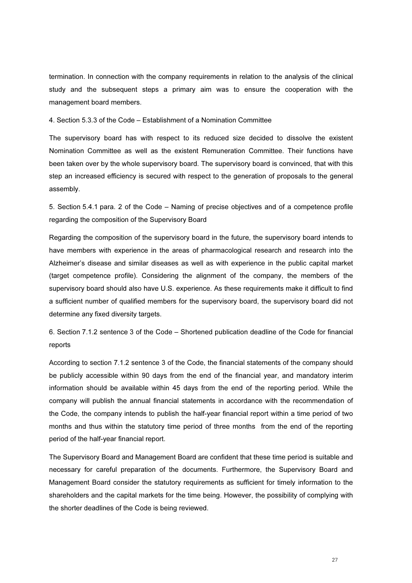termination. In connection with the company requirements in relation to the analysis of the clinical study and the subsequent steps a primary aim was to ensure the cooperation with the management board members.

4. Section 5.3.3 of the Code – Establishment of a Nomination Committee

The supervisory board has with respect to its reduced size decided to dissolve the existent Nomination Committee as well as the existent Remuneration Committee. Their functions have been taken over by the whole supervisory board. The supervisory board is convinced, that with this step an increased efficiency is secured with respect to the generation of proposals to the general assembly.

5. Section 5.4.1 para. 2 of the Code – Naming of precise objectives and of a competence profile regarding the composition of the Supervisory Board

Regarding the composition of the supervisory board in the future, the supervisory board intends to have members with experience in the areas of pharmacological research and research into the Alzheimer's disease and similar diseases as well as with experience in the public capital market (target competence profile). Considering the alignment of the company, the members of the supervisory board should also have U.S. experience. As these requirements make it difficult to find a sufficient number of qualified members for the supervisory board, the supervisory board did not determine any fixed diversity targets.

6. Section 7.1.2 sentence 3 of the Code – Shortened publication deadline of the Code for financial reports

According to section 7.1.2 sentence 3 of the Code, the financial statements of the company should be publicly accessible within 90 days from the end of the financial year, and mandatory interim information should be available within 45 days from the end of the reporting period. While the company will publish the annual financial statements in accordance with the recommendation of the Code, the company intends to publish the half-year financial report within a time period of two months and thus within the statutory time period of three months from the end of the reporting period of the half-year financial report.

The Supervisory Board and Management Board are confident that these time period is suitable and necessary for careful preparation of the documents. Furthermore, the Supervisory Board and Management Board consider the statutory requirements as sufficient for timely information to the shareholders and the capital markets for the time being. However, the possibility of complying with the shorter deadlines of the Code is being reviewed.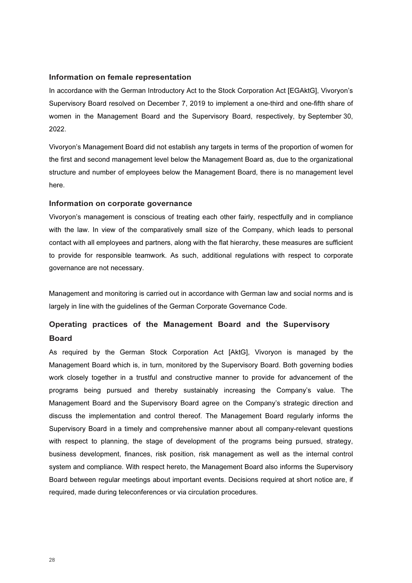### Information on female representation

In accordance with the German Introductory Act to the Stock Corporation Act [EGAktG], Vivoryon's Supervisory Board resolved on December 7, 2019 to implement a one-third and one-fifth share of women in the Management Board and the Supervisory Board, respectively, by September 30, 2022.

Vivoryon's Management Board did not establish any targets in terms of the proportion of women for the first and second management level below the Management Board as, due to the organizational structure and number of employees below the Management Board, there is no management level here.

### Information on corporate governance

Vivoryon's management is conscious of treating each other fairly, respectfully and in compliance with the law. In view of the comparatively small size of the Company, which leads to personal contact with all employees and partners, along with the flat hierarchy, these measures are sufficient to provide for responsible teamwork. As such, additional regulations with respect to corporate governance are not necessary.

Management and monitoring is carried out in accordance with German law and social norms and is largely in line with the guidelines of the German Corporate Governance Code.

# Operating practices of the Management Board and the Supervisory Board

As required by the German Stock Corporation Act [AktG], Vivoryon is managed by the Management Board which is, in turn, monitored by the Supervisory Board. Both governing bodies work closely together in a trustful and constructive manner to provide for advancement of the programs being pursued and thereby sustainably increasing the Company's value. The Management Board and the Supervisory Board agree on the Company's strategic direction and discuss the implementation and control thereof. The Management Board regularly informs the Supervisory Board in a timely and comprehensive manner about all company-relevant questions with respect to planning, the stage of development of the programs being pursued, strategy, business development, finances, risk position, risk management as well as the internal control system and compliance. With respect hereto, the Management Board also informs the Supervisory Board between regular meetings about important events. Decisions required at short notice are, if required, made during teleconferences or via circulation procedures.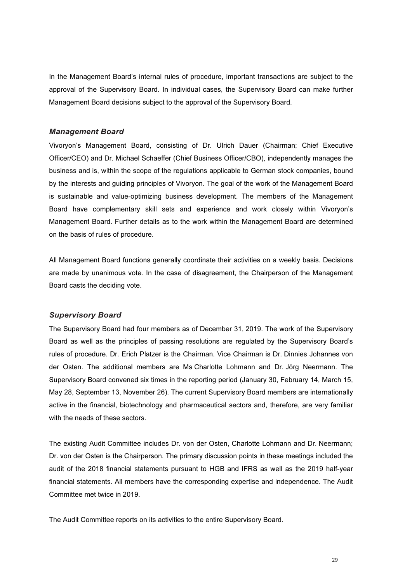In the Management Board's internal rules of procedure, important transactions are subject to the approval of the Supervisory Board. In individual cases, the Supervisory Board can make further Management Board decisions subject to the approval of the Supervisory Board.

### Management Board

Vivoryon's Management Board, consisting of Dr. Ulrich Dauer (Chairman; Chief Executive Officer/CEO) and Dr. Michael Schaeffer (Chief Business Officer/CBO), independently manages the business and is, within the scope of the regulations applicable to German stock companies, bound by the interests and guiding principles of Vivoryon. The goal of the work of the Management Board is sustainable and value-optimizing business development. The members of the Management Board have complementary skill sets and experience and work closely within Vivoryon's Management Board. Further details as to the work within the Management Board are determined on the basis of rules of procedure.

All Management Board functions generally coordinate their activities on a weekly basis. Decisions are made by unanimous vote. In the case of disagreement, the Chairperson of the Management Board casts the deciding vote.

### Supervisory Board

The Supervisory Board had four members as of December 31, 2019. The work of the Supervisory Board as well as the principles of passing resolutions are regulated by the Supervisory Board's rules of procedure. Dr. Erich Platzer is the Chairman. Vice Chairman is Dr. Dinnies Johannes von der Osten. The additional members are Ms Charlotte Lohmann and Dr. Jörg Neermann. The Supervisory Board convened six times in the reporting period (January 30, February 14, March 15, May 28, September 13, November 26). The current Supervisory Board members are internationally active in the financial, biotechnology and pharmaceutical sectors and, therefore, are very familiar with the needs of these sectors.

The existing Audit Committee includes Dr. von der Osten, Charlotte Lohmann and Dr. Neermann; Dr. von der Osten is the Chairperson. The primary discussion points in these meetings included the audit of the 2018 financial statements pursuant to HGB and IFRS as well as the 2019 half-year financial statements. All members have the corresponding expertise and independence. The Audit Committee met twice in 2019.

The Audit Committee reports on its activities to the entire Supervisory Board.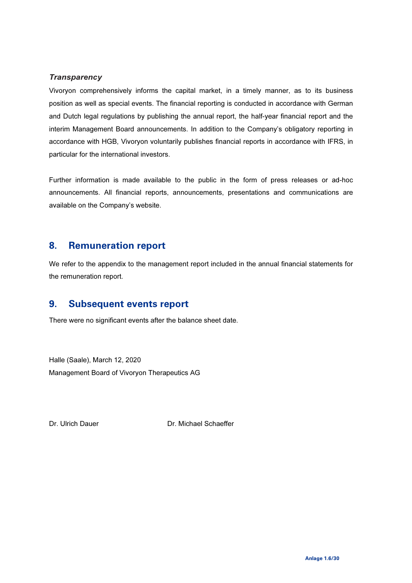### **Transparency**

Vivoryon comprehensively informs the capital market, in a timely manner, as to its business position as well as special events. The financial reporting is conducted in accordance with German and Dutch legal regulations by publishing the annual report, the half-year financial report and the interim Management Board announcements. In addition to the Company's obligatory reporting in accordance with HGB, Vivoryon voluntarily publishes financial reports in accordance with IFRS, in particular for the international investors.

Further information is made available to the public in the form of press releases or ad-hoc announcements. All financial reports, announcements, presentations and communications are available on the Company's website.

### 8. Remuneration report

We refer to the appendix to the management report included in the annual financial statements for the remuneration report.

# 9. Subsequent events report

There were no significant events after the balance sheet date.

Halle (Saale), March 12, 2020 Management Board of Vivoryon Therapeutics AG

Dr. Ulrich Dauer Dr. Michael Schaeffer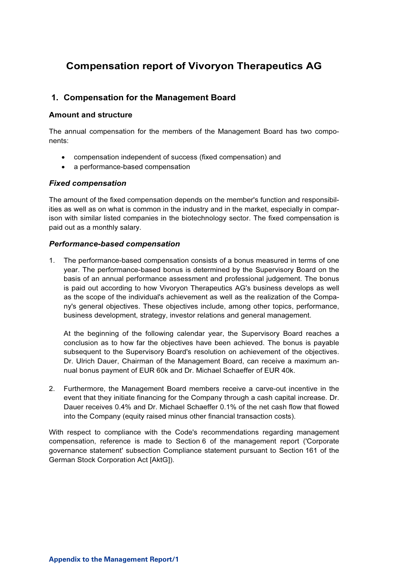# Compensation report of Vivoryon Therapeutics AG

### 1. Compensation for the Management Board

### Amount and structure

The annual compensation for the members of the Management Board has two components:

- compensation independent of success (fixed compensation) and
- a performance-based compensation

### Fixed compensation

The amount of the fixed compensation depends on the member's function and responsibilities as well as on what is common in the industry and in the market, especially in comparison with similar listed companies in the biotechnology sector. The fixed compensation is paid out as a monthly salary.

### Performance-based compensation

1. The performance-based compensation consists of a bonus measured in terms of one year. The performance-based bonus is determined by the Supervisory Board on the basis of an annual performance assessment and professional judgement. The bonus is paid out according to how Vivoryon Therapeutics AG's business develops as well as the scope of the individual's achievement as well as the realization of the Company's general objectives. These objectives include, among other topics, performance, business development, strategy, investor relations and general management.

At the beginning of the following calendar year, the Supervisory Board reaches a conclusion as to how far the objectives have been achieved. The bonus is payable subsequent to the Supervisory Board's resolution on achievement of the objectives. Dr. Ulrich Dauer, Chairman of the Management Board, can receive a maximum annual bonus payment of EUR 60k and Dr. Michael Schaeffer of EUR 40k.

2. Furthermore, the Management Board members receive a carve-out incentive in the event that they initiate financing for the Company through a cash capital increase. Dr. Dauer receives 0.4% and Dr. Michael Schaeffer 0.1% of the net cash flow that flowed into the Company (equity raised minus other financial transaction costs).

With respect to compliance with the Code's recommendations regarding management compensation, reference is made to Section 6 of the management report ('Corporate governance statement' subsection Compliance statement pursuant to Section 161 of the German Stock Corporation Act [AktG]).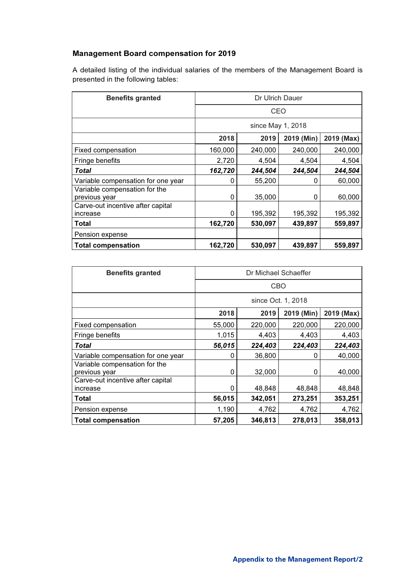### Management Board compensation for 2019

A detailed listing of the individual salaries of the members of the Management Board is presented in the following tables:

| <b>Benefits granted</b>                        | Dr Ulrich Dauer   |         |            |            |
|------------------------------------------------|-------------------|---------|------------|------------|
|                                                | CEO               |         |            |            |
|                                                | since May 1, 2018 |         |            |            |
|                                                | 2018              | 2019    | 2019 (Min) | 2019 (Max) |
| Fixed compensation                             | 160,000           | 240,000 | 240,000    | 240,000    |
| Fringe benefits                                | 2,720             | 4,504   | 4,504      | 4,504      |
| Total                                          | 162,720           | 244,504 | 244,504    | 244,504    |
| Variable compensation for one year             | O                 | 55,200  | 0          | 60,000     |
| Variable compensation for the<br>previous year | 0                 | 35,000  | 0          | 60,000     |
| Carve-out incentive after capital              |                   |         |            |            |
| increase                                       | 0                 | 195,392 | 195,392    | 195,392    |
| Total                                          | 162,720           | 530,097 | 439,897    | 559,897    |
| Pension expense                                |                   |         |            |            |
| Total compensation                             | 162,720           | 530,097 | 439,897    | 559,897    |

| <b>Benefits granted</b>                        | Dr Michael Schaeffer |         |            |            |
|------------------------------------------------|----------------------|---------|------------|------------|
|                                                | CBO                  |         |            |            |
|                                                | since Oct. 1, 2018   |         |            |            |
|                                                | 2018                 | 2019    | 2019 (Min) | 2019 (Max) |
| Fixed compensation                             | 55,000               | 220,000 | 220,000    | 220,000    |
| Fringe benefits                                | 1,015                | 4,403   | 4,403      | 4,403      |
| <b>Total</b>                                   | 56,015               | 224,403 | 224,403    | 224,403    |
| Variable compensation for one year             | 0                    | 36,800  | 0          | 40,000     |
| Variable compensation for the<br>previous year | 0                    | 32,000  | 0          | 40,000     |
| Carve-out incentive after capital<br>increase  |                      | 48,848  | 48,848     | 48,848     |
| Total                                          | 56,015               | 342,051 | 273,251    | 353,251    |
| Pension expense                                | 1,190                | 4,762   | 4,762      | 4,762      |
| <b>Total compensation</b>                      | 57,205               | 346,813 | 278,013    | 358,013    |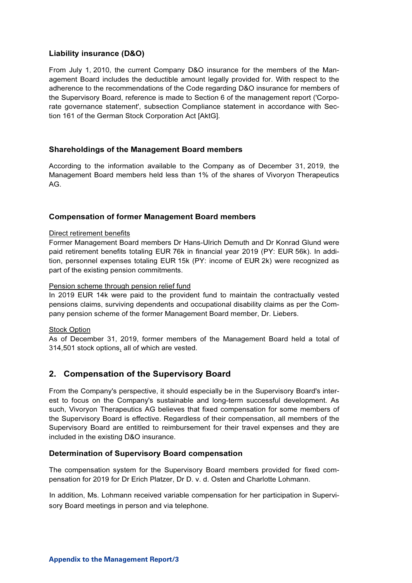### Liability insurance (D&O)

From July 1, 2010, the current Company D&O insurance for the members of the Management Board includes the deductible amount legally provided for. With respect to the adherence to the recommendations of the Code regarding D&O insurance for members of the Supervisory Board, reference is made to Section 6 of the management report ('Corporate governance statement', subsection Compliance statement in accordance with Section 161 of the German Stock Corporation Act [AktG].

### Shareholdings of the Management Board members

According to the information available to the Company as of December 31, 2019, the Management Board members held less than 1% of the shares of Vivoryon Therapeutics AG.

### Compensation of former Management Board members

### Direct retirement benefits

Former Management Board members Dr Hans-Ulrich Demuth and Dr Konrad Glund were paid retirement benefits totaling EUR 76k in financial year 2019 (PY: EUR 56k). In addition, personnel expenses totaling EUR 15k (PY: income of EUR 2k) were recognized as part of the existing pension commitments.

### Pension scheme through pension relief fund

In 2019 EUR 14k were paid to the provident fund to maintain the contractually vested pensions claims, surviving dependents and occupational disability claims as per the Company pension scheme of the former Management Board member, Dr. Liebers.

### Stock Option

As of December 31, 2019, former members of the Management Board held a total of 314,501 stock options, all of which are vested.

### 2. Compensation of the Supervisory Board

From the Company's perspective, it should especially be in the Supervisory Board's interest to focus on the Company's sustainable and long-term successful development. As such, Vivoryon Therapeutics AG believes that fixed compensation for some members of the Supervisory Board is effective. Regardless of their compensation, all members of the Supervisory Board are entitled to reimbursement for their travel expenses and they are included in the existing D&O insurance.

### Determination of Supervisory Board compensation

The compensation system for the Supervisory Board members provided for fixed compensation for 2019 for Dr Erich Platzer, Dr D. v. d. Osten and Charlotte Lohmann.

In addition, Ms. Lohmann received variable compensation for her participation in Supervisory Board meetings in person and via telephone.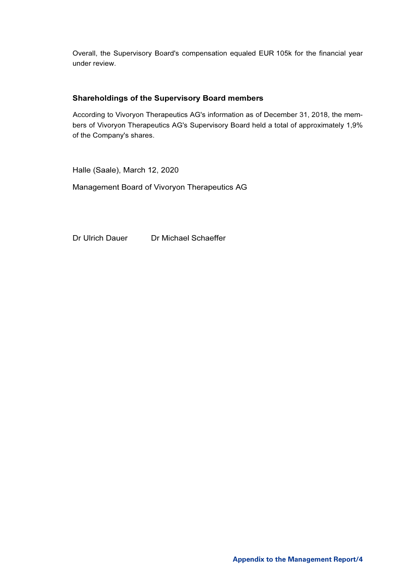Overall, the Supervisory Board's compensation equaled EUR 105k for the financial year under review.

### Shareholdings of the Supervisory Board members

According to Vivoryon Therapeutics AG's information as of December 31, 2018, the members of Vivoryon Therapeutics AG's Supervisory Board held a total of approximately 1,9% of the Company's shares.

Halle (Saale), March 12, 2020

Management Board of Vivoryon Therapeutics AG

Dr Ulrich Dauer Dr Michael Schaeffer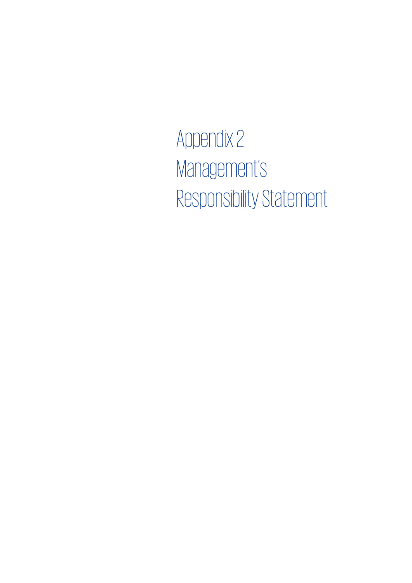Appendix 2 Management's Responsibility Statement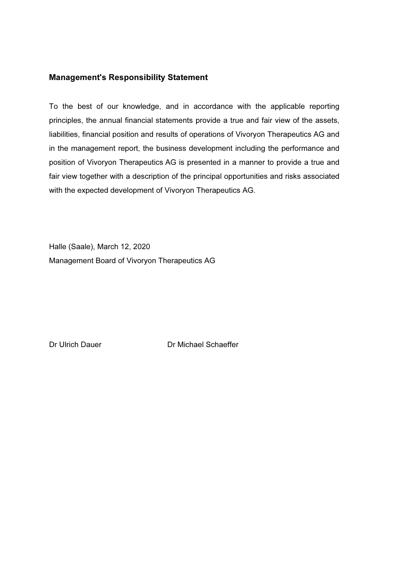### Management's Responsibility Statement

To the best of our knowledge, and in accordance with the applicable reporting principles, the annual financial statements provide a true and fair view of the assets, liabilities, financial position and results of operations of Vivoryon Therapeutics AG and in the management report, the business development including the performance and position of Vivoryon Therapeutics AG is presented in a manner to provide a true and fair view together with a description of the principal opportunities and risks associated with the expected development of Vivoryon Therapeutics AG.

Halle (Saale), March 12, 2020 Management Board of Vivoryon Therapeutics AG

Dr Ulrich Dauer Dr Michael Schaeffer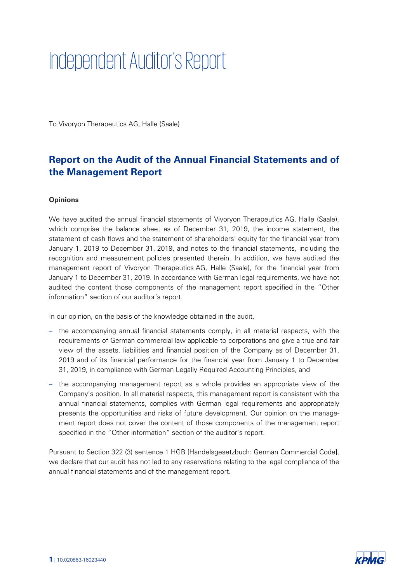# Independent Auditor's Report

To Vivoryon Therapeutics AG, Halle (Saale)

# Report on the Audit of the Annual Financial Statements and of the Management Report

### **Opinions**

We have audited the annual financial statements of Vivoryon Therapeutics AG, Halle (Saale), which comprise the balance sheet as of December 31, 2019, the income statement, the statement of cash flows and the statement of shareholders' equity for the financial year from January 1, 2019 to December 31, 2019, and notes to the financial statements, including the recognition and measurement policies presented therein. In addition, we have audited the management report of Vivoryon Therapeutics AG, Halle (Saale), for the financial year from January 1 to December 31, 2019. In accordance with German legal requirements, we have not audited the content those components of the management report specified in the "Other information" section of our auditor's report.

In our opinion, on the basis of the knowledge obtained in the audit,

- the accompanying annual financial statements comply, in all material respects, with the requirements of German commercial law applicable to corporations and give a true and fair view of the assets, liabilities and financial position of the Company as of December 31, 2019 and of its financial performance for the financial year from January 1 to December 31, 2019, in compliance with German Legally Required Accounting Principles, and
- the accompanying management report as a whole provides an appropriate view of the Company's position. In all material respects, this management report is consistent with the annual financial statements, complies with German legal requirements and appropriately presents the opportunities and risks of future development. Our opinion on the management report does not cover the content of those components of the management report specified in the "Other information" section of the auditor's report.

Pursuant to Section 322 (3) sentence 1 HGB [Handelsgesetzbuch: German Commercial Code], we declare that our audit has not led to any reservations relating to the legal compliance of the annual financial statements and of the management report.

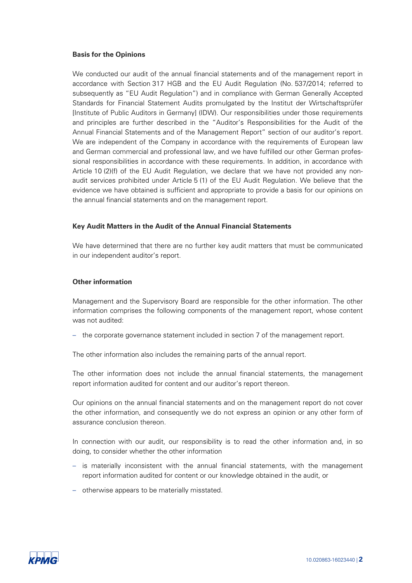### Basis for the Opinions

We conducted our audit of the annual financial statements and of the management report in accordance with Section 317 HGB and the EU Audit Regulation (No. 537/2014; referred to subsequently as "EU Audit Regulation") and in compliance with German Generally Accepted Standards for Financial Statement Audits promulgated by the Institut der Wirtschaftsprüfer [Institute of Public Auditors in Germany] (IDW). Our responsibilities under those requirements and principles are further described in the "Auditor's Responsibilities for the Audit of the Annual Financial Statements and of the Management Report" section of our auditor's report. We are independent of the Company in accordance with the requirements of European law and German commercial and professional law, and we have fulfilled our other German professional responsibilities in accordance with these requirements. In addition, in accordance with Article 10 (2)(f) of the EU Audit Regulation, we declare that we have not provided any nonaudit services prohibited under Article 5 (1) of the EU Audit Regulation. We believe that the evidence we have obtained is sufficient and appropriate to provide a basis for our opinions on the annual financial statements and on the management report.

### Key Audit Matters in the Audit of the Annual Financial Statements

We have determined that there are no further key audit matters that must be communicated in our independent auditor's report.

### Other information

Management and the Supervisory Board are responsible for the other information. The other information comprises the following components of the management report, whose content was not audited:

- the corporate governance statement included in section 7 of the management report.

The other information also includes the remaining parts of the annual report.

The other information does not include the annual financial statements, the management report information audited for content and our auditor's report thereon.

Our opinions on the annual financial statements and on the management report do not cover the other information, and consequently we do not express an opinion or any other form of assurance conclusion thereon.

In connection with our audit, our responsibility is to read the other information and, in so doing, to consider whether the other information

- is materially inconsistent with the annual financial statements, with the management report information audited for content or our knowledge obtained in the audit, or
- otherwise appears to be materially misstated.

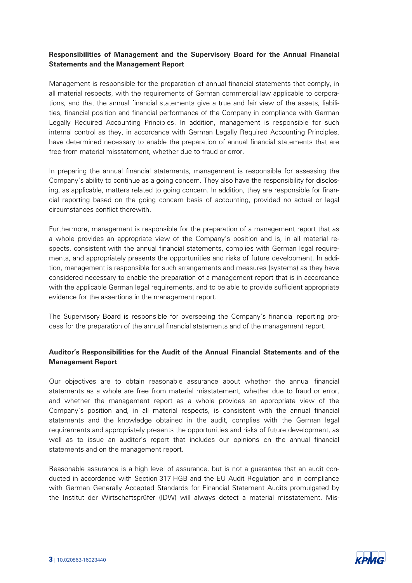## Responsibilities of Management and the Supervisory Board for the Annual Financial Statements and the Management Report

Management is responsible for the preparation of annual financial statements that comply, in all material respects, with the requirements of German commercial law applicable to corporations, and that the annual financial statements give a true and fair view of the assets, liabilities, financial position and financial performance of the Company in compliance with German Legally Required Accounting Principles. In addition, management is responsible for such internal control as they, in accordance with German Legally Required Accounting Principles, have determined necessary to enable the preparation of annual financial statements that are free from material misstatement, whether due to fraud or error.

In preparing the annual financial statements, management is responsible for assessing the Company's ability to continue as a going concern. They also have the responsibility for disclosing, as applicable, matters related to going concern. In addition, they are responsible for financial reporting based on the going concern basis of accounting, provided no actual or legal circumstances conflict therewith.

Furthermore, management is responsible for the preparation of a management report that as a whole provides an appropriate view of the Company's position and is, in all material respects, consistent with the annual financial statements, complies with German legal requirements, and appropriately presents the opportunities and risks of future development. In addition, management is responsible for such arrangements and measures (systems) as they have considered necessary to enable the preparation of a management report that is in accordance with the applicable German legal requirements, and to be able to provide sufficient appropriate evidence for the assertions in the management report.

The Supervisory Board is responsible for overseeing the Company's financial reporting process for the preparation of the annual financial statements and of the management report.

### Auditor's Responsibilities for the Audit of the Annual Financial Statements and of the Management Report

Our objectives are to obtain reasonable assurance about whether the annual financial statements as a whole are free from material misstatement, whether due to fraud or error, and whether the management report as a whole provides an appropriate view of the Company's position and, in all material respects, is consistent with the annual financial statements and the knowledge obtained in the audit, complies with the German legal requirements and appropriately presents the opportunities and risks of future development, as well as to issue an auditor's report that includes our opinions on the annual financial statements and on the management report.

Reasonable assurance is a high level of assurance, but is not a guarantee that an audit conducted in accordance with Section 317 HGB and the EU Audit Regulation and in compliance with-German Generally Accepted Standards for Financial Statement Audits promulgated by the Institut der Wirtschaftsprüfer (IDW) will always detect a material misstatement. Mis-

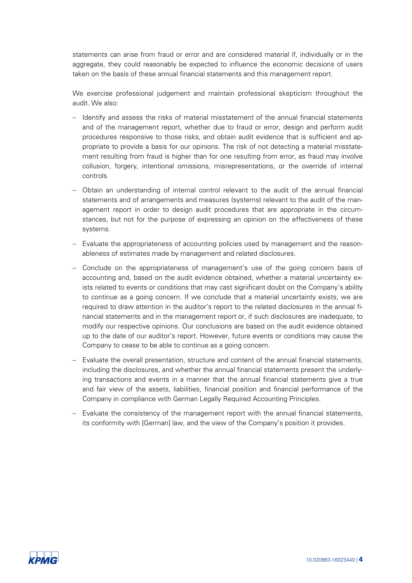statements can arise from fraud or error and are considered material if, individually or in the aggregate, they could reasonably be expected to influence the economic decisions of users taken on the basis of these annual financial statements and this management report.

We exercise professional judgement and maintain professional skepticism throughout the audit. We also:

- Identify and assess the risks of material misstatement of the annual financial statements and of the management report, whether due to fraud or error, design and perform audit procedures responsive to those risks, and obtain audit evidence that is sufficient and appropriate to provide a basis for our opinions. The risk of not detecting a material misstatement resulting from fraud is higher than for one resulting from error, as fraud may involve collusion, forgery, intentional omissions, misrepresentations, or the override of internal controls.-
- Obtain an understanding of internal control relevant to the audit of the annual financial statements and of arrangements and measures (systems) relevant to the audit of the management report in order to design audit procedures that are appropriate in the circumstances, but not for the purpose of expressing an opinion on the effectiveness of these systems.
- Evaluate the appropriateness of accounting policies used by management and the reasonableness of estimates made by management and related disclosures.
- Conclude on the appropriateness of management's use of the going concern basis of accounting and, based on the audit evidence obtained, whether a material uncertainty exists related to events or conditions that may cast significant doubt on the Company's ability to continue as a going concern. If we conclude that a material uncertainty exists, we are required to draw attention in the auditor's report to the related disclosures in the annual financial statements and in the management report or, if such disclosures are inadequate, to modify our respective opinions. Our conclusions are based on the audit evidence obtained up to the date of our auditor's report. However, future events or conditions may cause the Company to cease to be able to continue as a going concern.
- Evaluate the overall presentation, structure and content of the annual financial statements, including the disclosures, and whether the annual financial statements present the underlying transactions and events in a manner that the annual financial statements give a true and fair view of the assets, liabilities, financial position and financial performance of the Company in compliance with German Legally Required Accounting Principles.
- Evaluate the consistency of the management report with the annual financial statements, its conformity with [German] law, and the view of the Company's position it provides.

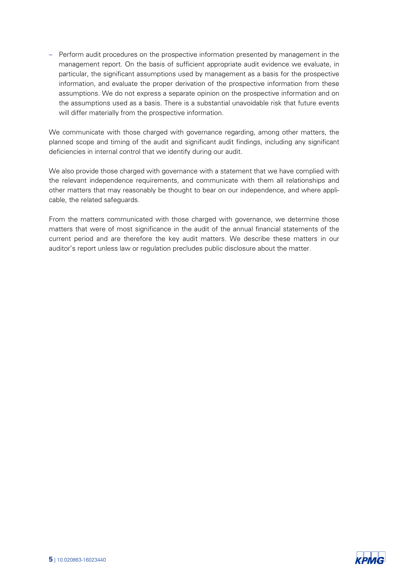- Perform audit procedures on the prospective information presented by management in the management report. On the basis of sufficient appropriate audit evidence we evaluate, in particular, the significant assumptions used by management as a basis for the prospective information, and evaluate the proper derivation of the prospective information from these assumptions. We do not express a separate opinion on the prospective information and on the assumptions used as a basis. There is a substantial unavoidable risk that future events will differ materially from the prospective information.

We communicate with those charged with governance regarding, among other matters, the planned scope and timing of the audit and significant audit findings, including any significant deficiencies in internal control that we identify during our audit.

We also provide those charged with governance with a statement that we have complied with the relevant independence requirements, and communicate with them all relationships and other matters that may reasonably be thought to bear on our independence, and where applicable, the related safeguards.

From the matters communicated with those charged with governance, we determine those matters that were of most significance in the audit of the annual financial statements of the current period and are therefore the key audit matters. We describe these matters in our auditor's report unless law or regulation precludes public disclosure about the matter.